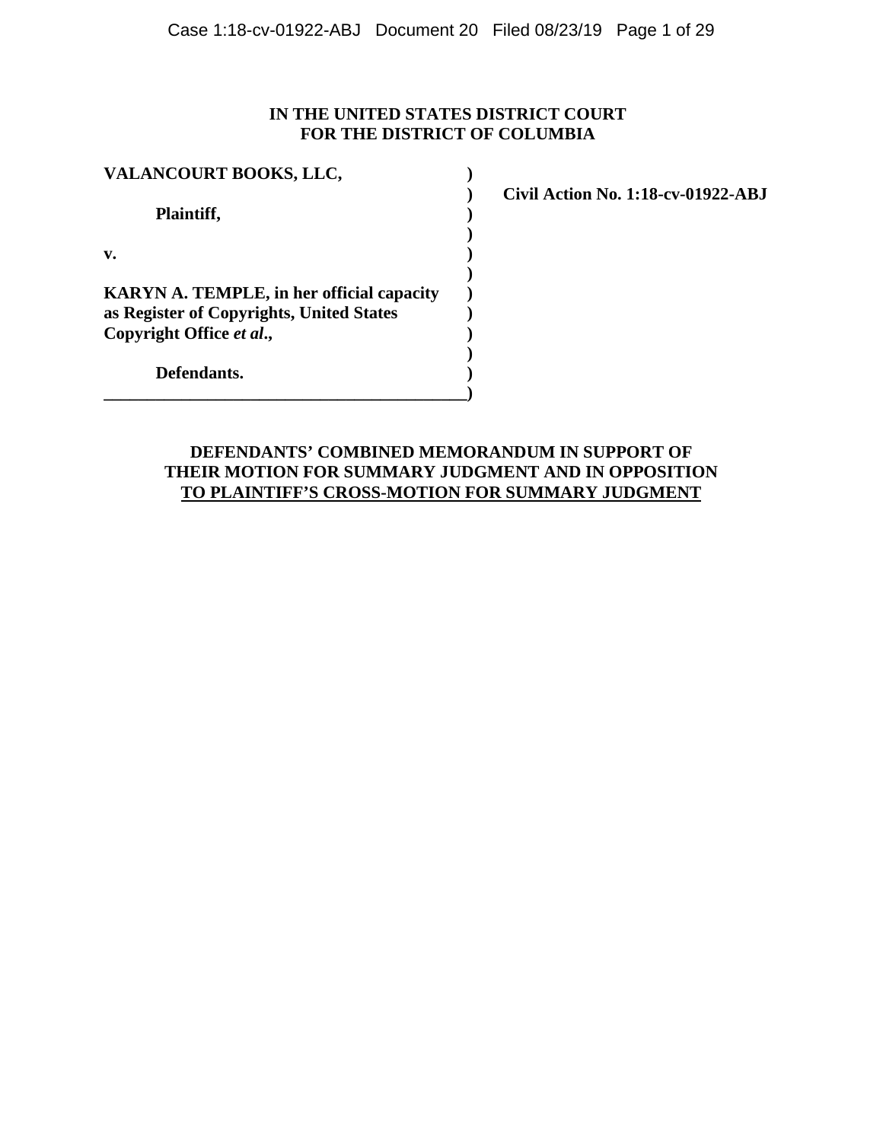# **IN THE UNITED STATES DISTRICT COURT FOR THE DISTRICT OF COLUMBIA**

| VALANCOURT BOOKS, LLC,                                                                       |  |  |
|----------------------------------------------------------------------------------------------|--|--|
| Plaintiff,                                                                                   |  |  |
| v.                                                                                           |  |  |
| <b>KARYN A. TEMPLE, in her official capacity</b><br>as Register of Copyrights, United States |  |  |
| Copyright Office et al.,                                                                     |  |  |
| Defendants.                                                                                  |  |  |

**\_\_\_\_\_\_\_\_\_\_\_\_\_\_\_\_\_\_\_\_\_\_\_\_\_\_\_\_\_\_\_\_\_\_\_\_\_\_\_\_\_\_)**

**) Civil Action No. 1:18-cv-01922-ABJ**

# **DEFENDANTS' COMBINED MEMORANDUM IN SUPPORT OF THEIR MOTION FOR SUMMARY JUDGMENT AND IN OPPOSITION TO PLAINTIFF'S CROSS-MOTION FOR SUMMARY JUDGMENT**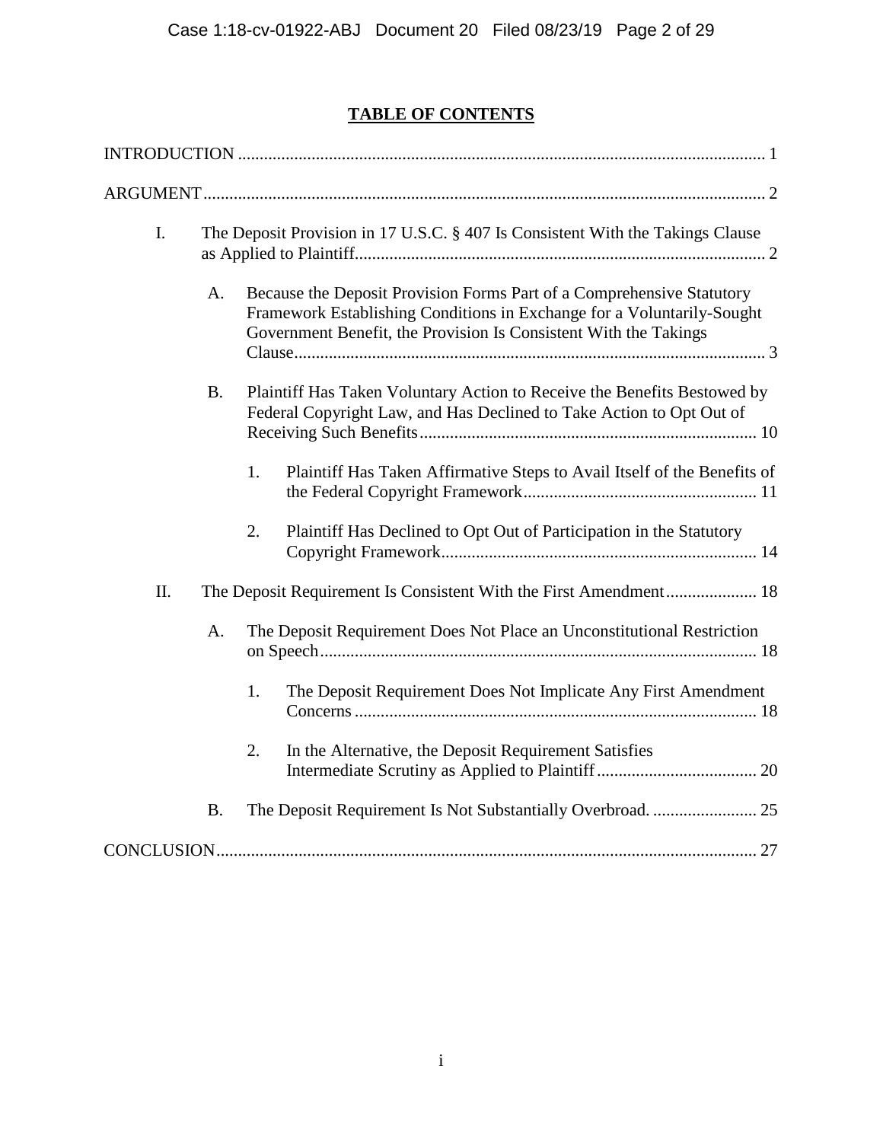# **TABLE OF CONTENTS**

| I.  |           | The Deposit Provision in 17 U.S.C. § 407 Is Consistent With the Takings Clause                                                                                                                                      |
|-----|-----------|---------------------------------------------------------------------------------------------------------------------------------------------------------------------------------------------------------------------|
|     | A.        | Because the Deposit Provision Forms Part of a Comprehensive Statutory<br>Framework Establishing Conditions in Exchange for a Voluntarily-Sought<br>Government Benefit, the Provision Is Consistent With the Takings |
|     | <b>B.</b> | Plaintiff Has Taken Voluntary Action to Receive the Benefits Bestowed by<br>Federal Copyright Law, and Has Declined to Take Action to Opt Out of                                                                    |
|     |           | 1.<br>Plaintiff Has Taken Affirmative Steps to Avail Itself of the Benefits of                                                                                                                                      |
|     |           | Plaintiff Has Declined to Opt Out of Participation in the Statutory<br>2.                                                                                                                                           |
| II. |           | The Deposit Requirement Is Consistent With the First Amendment 18                                                                                                                                                   |
|     | A.        | The Deposit Requirement Does Not Place an Unconstitutional Restriction                                                                                                                                              |
|     |           | 1.<br>The Deposit Requirement Does Not Implicate Any First Amendment                                                                                                                                                |
|     |           | 2.<br>In the Alternative, the Deposit Requirement Satisfies                                                                                                                                                         |
|     | <b>B.</b> |                                                                                                                                                                                                                     |
|     |           |                                                                                                                                                                                                                     |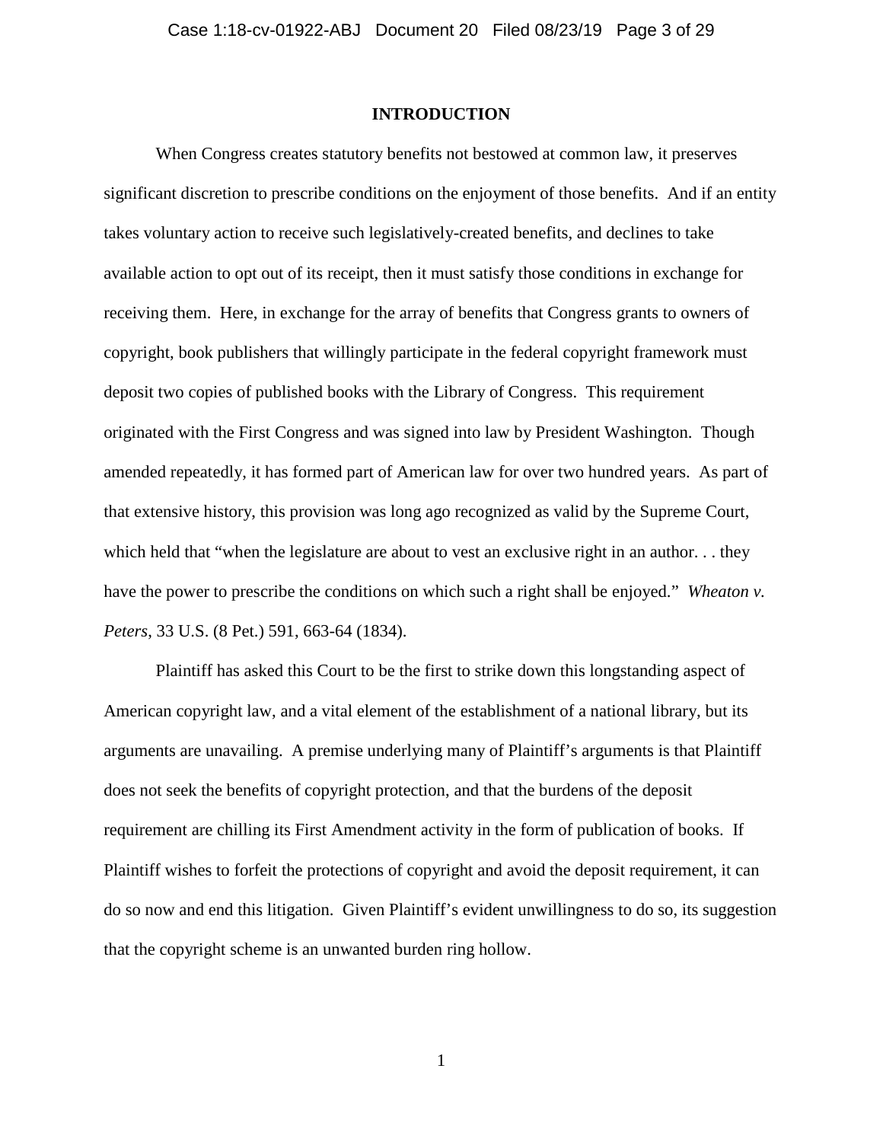### **INTRODUCTION**

When Congress creates statutory benefits not bestowed at common law, it preserves significant discretion to prescribe conditions on the enjoyment of those benefits. And if an entity takes voluntary action to receive such legislatively-created benefits, and declines to take available action to opt out of its receipt, then it must satisfy those conditions in exchange for receiving them. Here, in exchange for the array of benefits that Congress grants to owners of copyright, book publishers that willingly participate in the federal copyright framework must deposit two copies of published books with the Library of Congress. This requirement originated with the First Congress and was signed into law by President Washington. Though amended repeatedly, it has formed part of American law for over two hundred years. As part of that extensive history, this provision was long ago recognized as valid by the Supreme Court, which held that "when the legislature are about to vest an exclusive right in an author... they have the power to prescribe the conditions on which such a right shall be enjoyed." *Wheaton v. Peters*, 33 U.S. (8 Pet.) 591, 663-64 (1834).

Plaintiff has asked this Court to be the first to strike down this longstanding aspect of American copyright law, and a vital element of the establishment of a national library, but its arguments are unavailing. A premise underlying many of Plaintiff's arguments is that Plaintiff does not seek the benefits of copyright protection, and that the burdens of the deposit requirement are chilling its First Amendment activity in the form of publication of books. If Plaintiff wishes to forfeit the protections of copyright and avoid the deposit requirement, it can do so now and end this litigation. Given Plaintiff's evident unwillingness to do so, its suggestion that the copyright scheme is an unwanted burden ring hollow.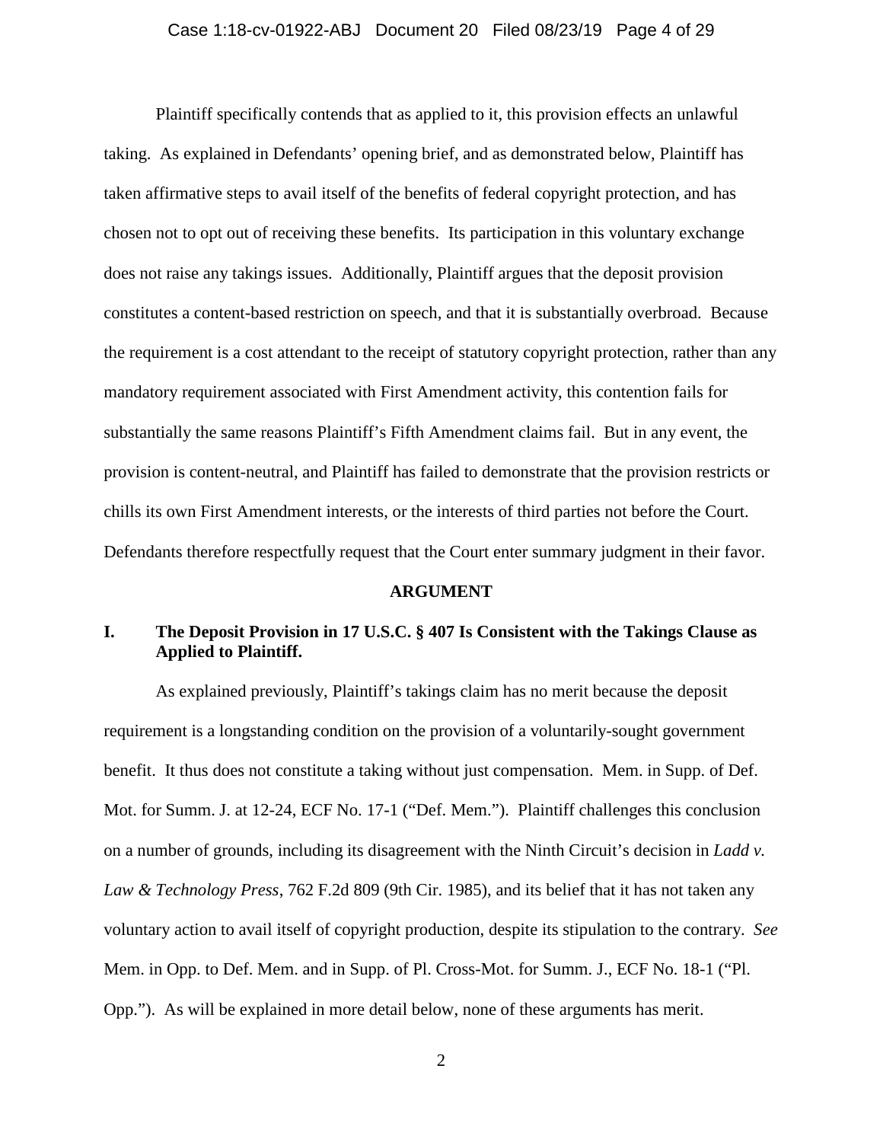### Case 1:18-cv-01922-ABJ Document 20 Filed 08/23/19 Page 4 of 29

Plaintiff specifically contends that as applied to it, this provision effects an unlawful taking. As explained in Defendants' opening brief, and as demonstrated below, Plaintiff has taken affirmative steps to avail itself of the benefits of federal copyright protection, and has chosen not to opt out of receiving these benefits. Its participation in this voluntary exchange does not raise any takings issues. Additionally, Plaintiff argues that the deposit provision constitutes a content-based restriction on speech, and that it is substantially overbroad. Because the requirement is a cost attendant to the receipt of statutory copyright protection, rather than any mandatory requirement associated with First Amendment activity, this contention fails for substantially the same reasons Plaintiff's Fifth Amendment claims fail. But in any event, the provision is content-neutral, and Plaintiff has failed to demonstrate that the provision restricts or chills its own First Amendment interests, or the interests of third parties not before the Court. Defendants therefore respectfully request that the Court enter summary judgment in their favor.

#### **ARGUMENT**

# **I. The Deposit Provision in 17 U.S.C. § 407 Is Consistent with the Takings Clause as Applied to Plaintiff.**

As explained previously, Plaintiff's takings claim has no merit because the deposit requirement is a longstanding condition on the provision of a voluntarily-sought government benefit. It thus does not constitute a taking without just compensation. Mem. in Supp. of Def. Mot. for Summ. J. at 12-24, ECF No. 17-1 ("Def. Mem."). Plaintiff challenges this conclusion on a number of grounds, including its disagreement with the Ninth Circuit's decision in *Ladd v. Law & Technology Press*, 762 F.2d 809 (9th Cir. 1985), and its belief that it has not taken any voluntary action to avail itself of copyright production, despite its stipulation to the contrary. *See*  Mem. in Opp. to Def. Mem. and in Supp. of Pl. Cross-Mot. for Summ. J., ECF No. 18-1 ("Pl. Opp."). As will be explained in more detail below, none of these arguments has merit.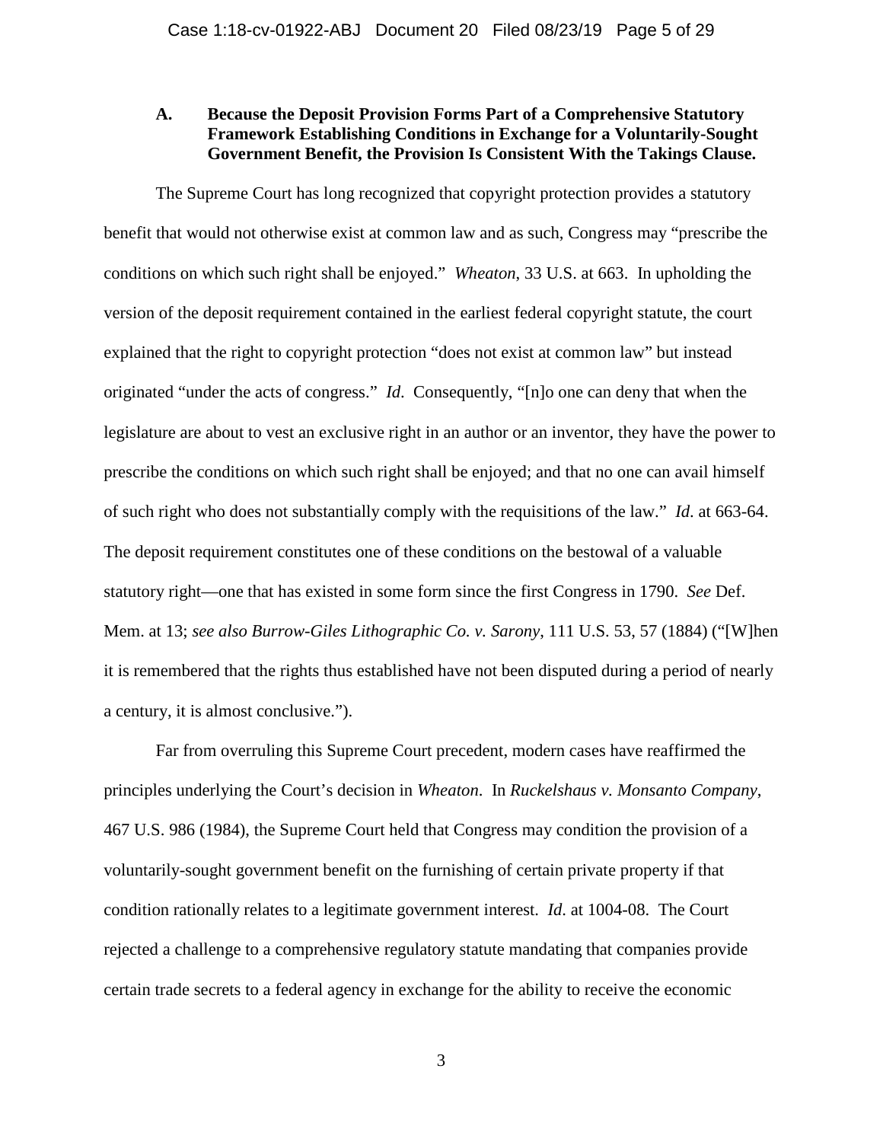### **A. Because the Deposit Provision Forms Part of a Comprehensive Statutory Framework Establishing Conditions in Exchange for a Voluntarily-Sought Government Benefit, the Provision Is Consistent With the Takings Clause.**

The Supreme Court has long recognized that copyright protection provides a statutory benefit that would not otherwise exist at common law and as such, Congress may "prescribe the conditions on which such right shall be enjoyed." *Wheaton*, 33 U.S. at 663. In upholding the version of the deposit requirement contained in the earliest federal copyright statute, the court explained that the right to copyright protection "does not exist at common law" but instead originated "under the acts of congress." *Id*. Consequently, "[n]o one can deny that when the legislature are about to vest an exclusive right in an author or an inventor, they have the power to prescribe the conditions on which such right shall be enjoyed; and that no one can avail himself of such right who does not substantially comply with the requisitions of the law." *Id*. at 663-64. The deposit requirement constitutes one of these conditions on the bestowal of a valuable statutory right—one that has existed in some form since the first Congress in 1790. *See* Def. Mem. at 13; *see also Burrow-Giles Lithographic Co. v. Sarony*, 111 U.S. 53, 57 (1884) ("[W]hen it is remembered that the rights thus established have not been disputed during a period of nearly a century, it is almost conclusive.").

Far from overruling this Supreme Court precedent, modern cases have reaffirmed the principles underlying the Court's decision in *Wheaton*. In *Ruckelshaus v. Monsanto Company*, 467 U.S. 986 (1984), the Supreme Court held that Congress may condition the provision of a voluntarily-sought government benefit on the furnishing of certain private property if that condition rationally relates to a legitimate government interest. *Id*. at 1004-08. The Court rejected a challenge to a comprehensive regulatory statute mandating that companies provide certain trade secrets to a federal agency in exchange for the ability to receive the economic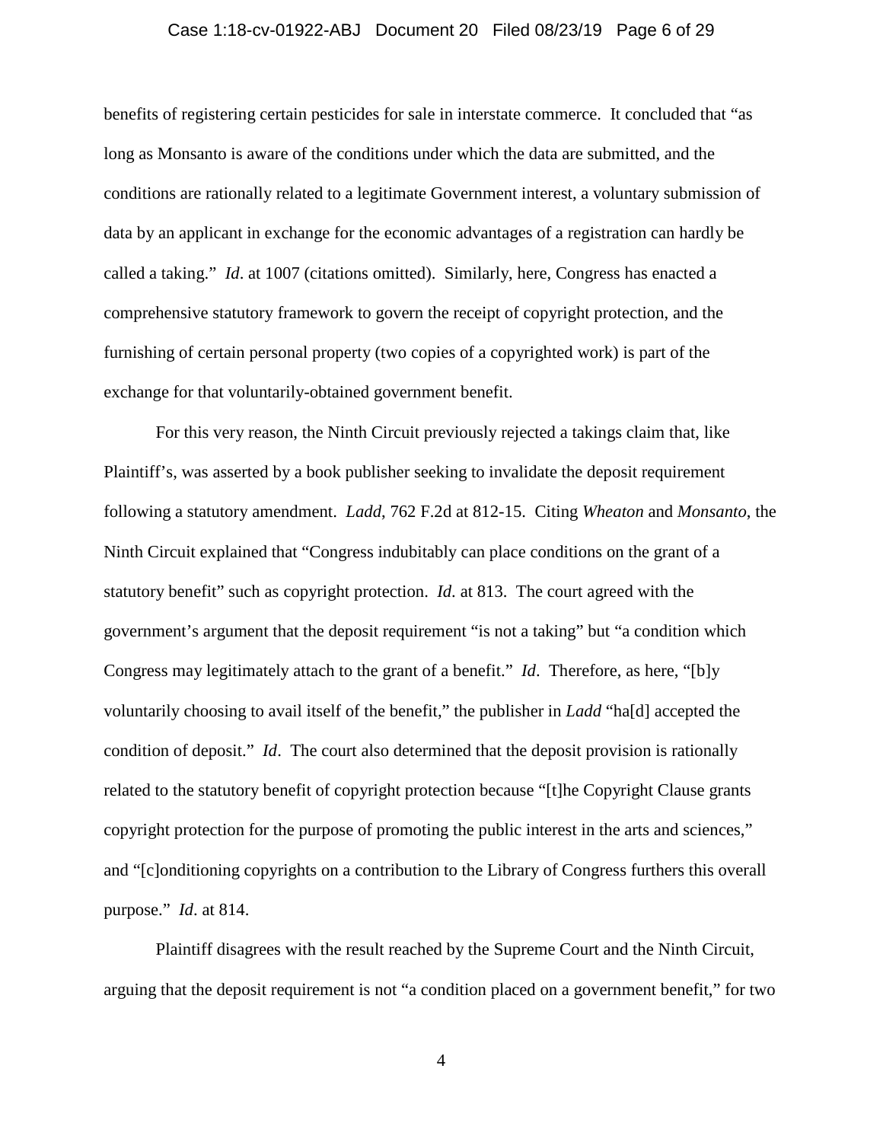### Case 1:18-cv-01922-ABJ Document 20 Filed 08/23/19 Page 6 of 29

benefits of registering certain pesticides for sale in interstate commerce. It concluded that "as long as Monsanto is aware of the conditions under which the data are submitted, and the conditions are rationally related to a legitimate Government interest, a voluntary submission of data by an applicant in exchange for the economic advantages of a registration can hardly be called a taking." *Id*. at 1007 (citations omitted). Similarly, here, Congress has enacted a comprehensive statutory framework to govern the receipt of copyright protection, and the furnishing of certain personal property (two copies of a copyrighted work) is part of the exchange for that voluntarily-obtained government benefit.

For this very reason, the Ninth Circuit previously rejected a takings claim that, like Plaintiff's, was asserted by a book publisher seeking to invalidate the deposit requirement following a statutory amendment. *Ladd*, 762 F.2d at 812-15. Citing *Wheaton* and *Monsanto*, the Ninth Circuit explained that "Congress indubitably can place conditions on the grant of a statutory benefit" such as copyright protection. *Id*. at 813. The court agreed with the government's argument that the deposit requirement "is not a taking" but "a condition which Congress may legitimately attach to the grant of a benefit." *Id*. Therefore, as here, "[b]y voluntarily choosing to avail itself of the benefit," the publisher in *Ladd* "ha[d] accepted the condition of deposit." *Id*. The court also determined that the deposit provision is rationally related to the statutory benefit of copyright protection because "[t]he Copyright Clause grants copyright protection for the purpose of promoting the public interest in the arts and sciences," and "[c]onditioning copyrights on a contribution to the Library of Congress furthers this overall purpose." *Id*. at 814.

Plaintiff disagrees with the result reached by the Supreme Court and the Ninth Circuit, arguing that the deposit requirement is not "a condition placed on a government benefit," for two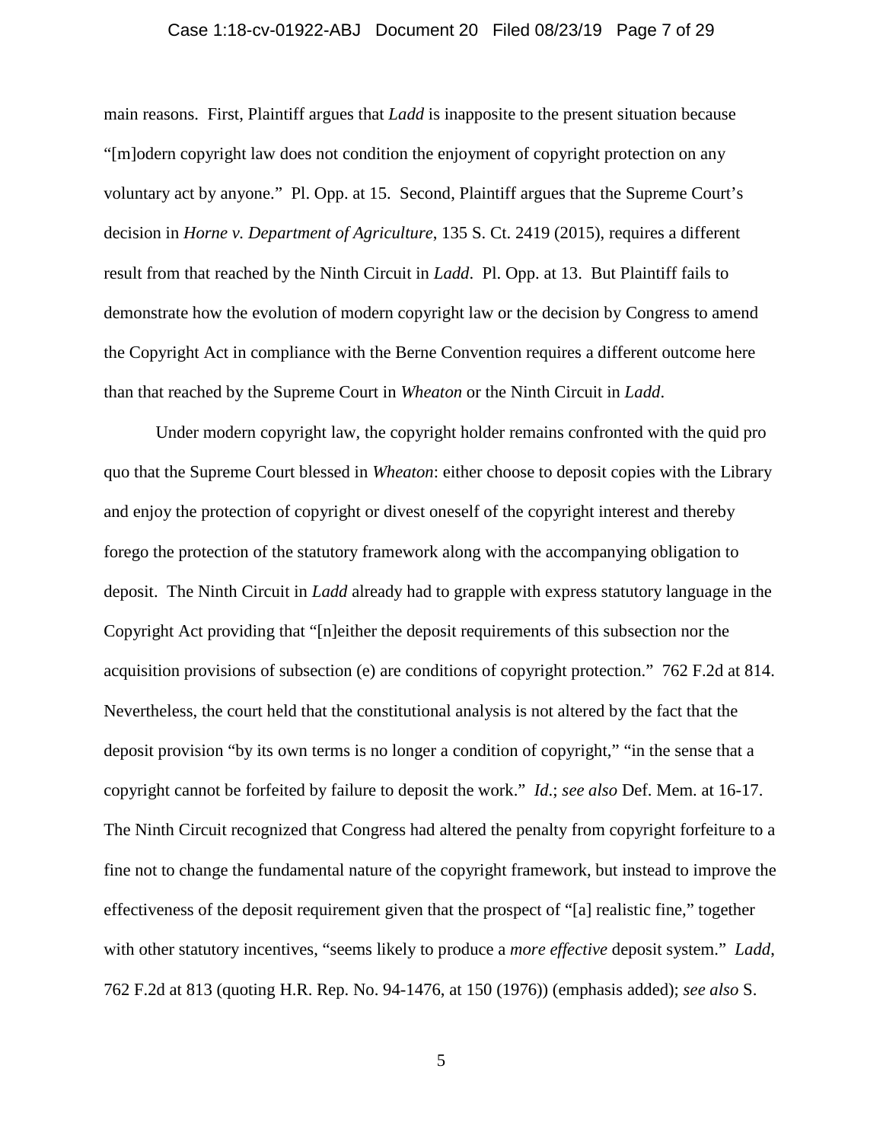#### Case 1:18-cv-01922-ABJ Document 20 Filed 08/23/19 Page 7 of 29

main reasons. First, Plaintiff argues that *Ladd* is inapposite to the present situation because "[m]odern copyright law does not condition the enjoyment of copyright protection on any voluntary act by anyone." Pl. Opp. at 15. Second, Plaintiff argues that the Supreme Court's decision in *Horne v. Department of Agriculture*, 135 S. Ct. 2419 (2015), requires a different result from that reached by the Ninth Circuit in *Ladd*. Pl. Opp. at 13. But Plaintiff fails to demonstrate how the evolution of modern copyright law or the decision by Congress to amend the Copyright Act in compliance with the Berne Convention requires a different outcome here than that reached by the Supreme Court in *Wheaton* or the Ninth Circuit in *Ladd*.

Under modern copyright law, the copyright holder remains confronted with the quid pro quo that the Supreme Court blessed in *Wheaton*: either choose to deposit copies with the Library and enjoy the protection of copyright or divest oneself of the copyright interest and thereby forego the protection of the statutory framework along with the accompanying obligation to deposit. The Ninth Circuit in *Ladd* already had to grapple with express statutory language in the Copyright Act providing that "[n]either the deposit requirements of this subsection nor the acquisition provisions of subsection (e) are conditions of copyright protection." 762 F.2d at 814. Nevertheless, the court held that the constitutional analysis is not altered by the fact that the deposit provision "by its own terms is no longer a condition of copyright," "in the sense that a copyright cannot be forfeited by failure to deposit the work." *Id*.; *see also* Def. Mem. at 16-17. The Ninth Circuit recognized that Congress had altered the penalty from copyright forfeiture to a fine not to change the fundamental nature of the copyright framework, but instead to improve the effectiveness of the deposit requirement given that the prospect of "[a] realistic fine," together with other statutory incentives, "seems likely to produce a *more effective* deposit system." *Ladd*, 762 F.2d at 813 (quoting H.R. Rep. No. 94-1476, at 150 (1976)) (emphasis added); *see also* S.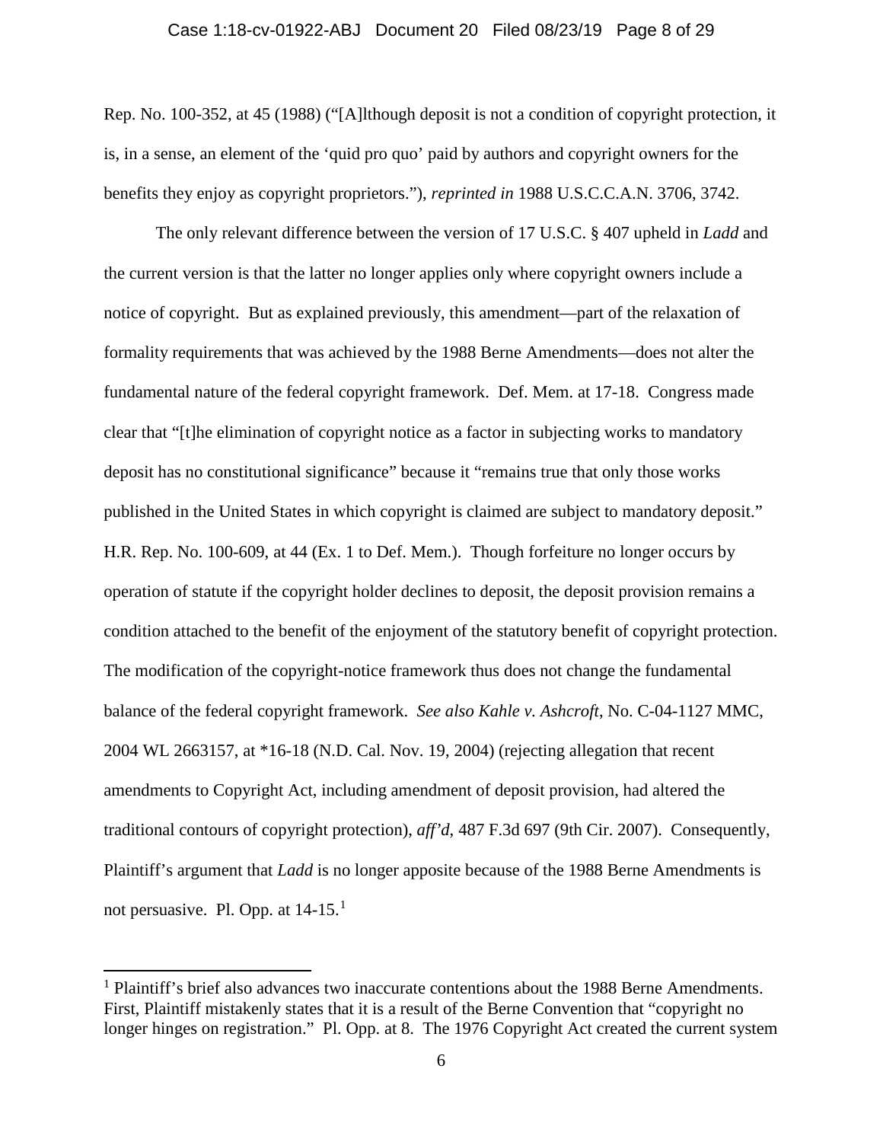#### Case 1:18-cv-01922-ABJ Document 20 Filed 08/23/19 Page 8 of 29

Rep. No. 100-352, at 45 (1988) ("[A]lthough deposit is not a condition of copyright protection, it is, in a sense, an element of the 'quid pro quo' paid by authors and copyright owners for the benefits they enjoy as copyright proprietors."), *reprinted in* 1988 U.S.C.C.A.N. 3706, 3742.

The only relevant difference between the version of 17 U.S.C. § 407 upheld in *Ladd* and the current version is that the latter no longer applies only where copyright owners include a notice of copyright. But as explained previously, this amendment—part of the relaxation of formality requirements that was achieved by the 1988 Berne Amendments—does not alter the fundamental nature of the federal copyright framework. Def. Mem. at 17-18. Congress made clear that "[t]he elimination of copyright notice as a factor in subjecting works to mandatory deposit has no constitutional significance" because it "remains true that only those works published in the United States in which copyright is claimed are subject to mandatory deposit." H.R. Rep. No. 100-609, at 44 (Ex. 1 to Def. Mem.). Though forfeiture no longer occurs by operation of statute if the copyright holder declines to deposit, the deposit provision remains a condition attached to the benefit of the enjoyment of the statutory benefit of copyright protection. The modification of the copyright-notice framework thus does not change the fundamental balance of the federal copyright framework. *See also Kahle v. Ashcroft*, No. C-04-1127 MMC, 2004 WL 2663157, at \*16-18 (N.D. Cal. Nov. 19, 2004) (rejecting allegation that recent amendments to Copyright Act, including amendment of deposit provision, had altered the traditional contours of copyright protection), *aff'd*, 487 F.3d 697 (9th Cir. 2007). Consequently, Plaintiff's argument that *Ladd* is no longer apposite because of the 1988 Berne Amendments is not persuasive. Pl. Opp. at  $14-15$  $14-15$ .<sup>1</sup>

<span id="page-7-0"></span> $<sup>1</sup>$  Plaintiff's brief also advances two inaccurate contentions about the 1988 Berne Amendments.</sup> First, Plaintiff mistakenly states that it is a result of the Berne Convention that "copyright no longer hinges on registration." Pl. Opp. at 8. The 1976 Copyright Act created the current system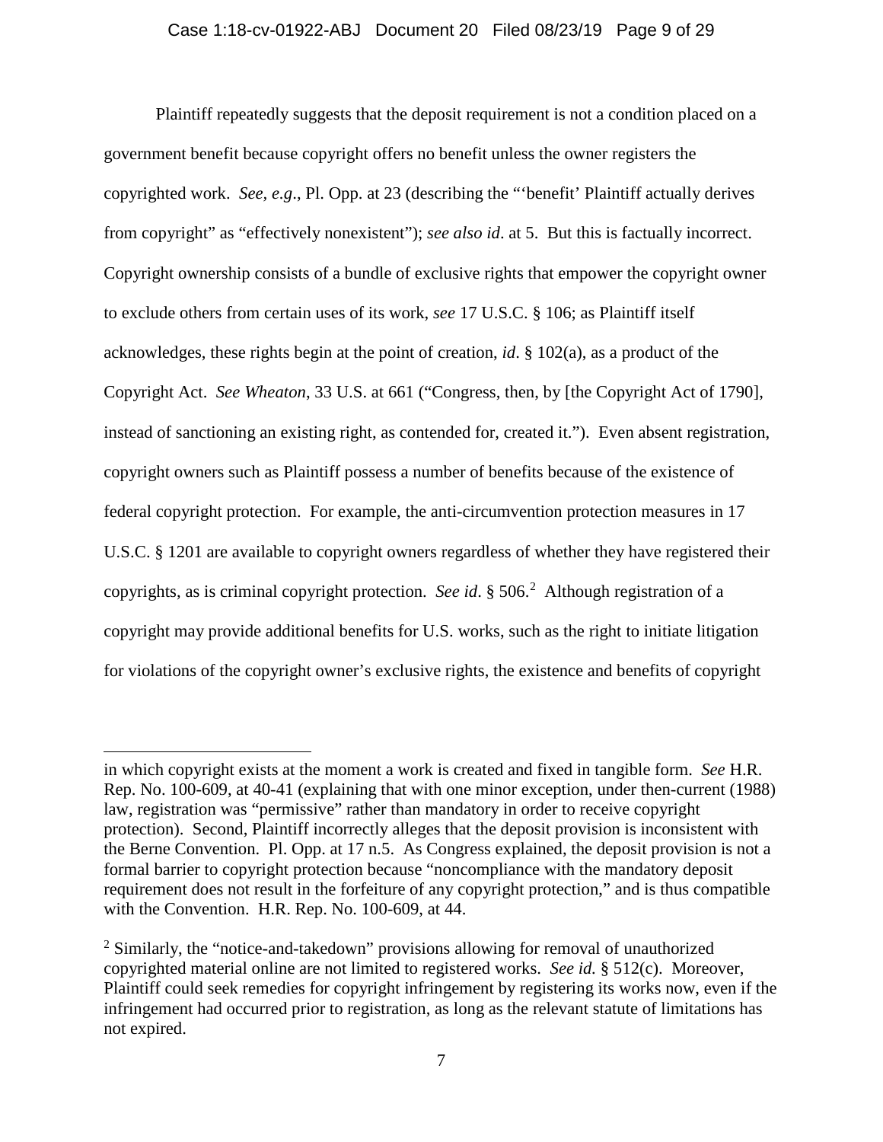Plaintiff repeatedly suggests that the deposit requirement is not a condition placed on a government benefit because copyright offers no benefit unless the owner registers the copyrighted work. *See, e.g*., Pl. Opp. at 23 (describing the "'benefit' Plaintiff actually derives from copyright" as "effectively nonexistent"); *see also id*. at 5. But this is factually incorrect. Copyright ownership consists of a bundle of exclusive rights that empower the copyright owner to exclude others from certain uses of its work, *see* 17 U.S.C. § 106; as Plaintiff itself acknowledges, these rights begin at the point of creation, *id*. § 102(a), as a product of the Copyright Act. *See Wheaton*, 33 U.S. at 661 ("Congress, then, by [the Copyright Act of 1790], instead of sanctioning an existing right, as contended for, created it."). Even absent registration, copyright owners such as Plaintiff possess a number of benefits because of the existence of federal copyright protection. For example, the anti-circumvention protection measures in 17 U.S.C. § 1201 are available to copyright owners regardless of whether they have registered their copyrights, as is criminal copyright protection. *See id*. § 506. [2](#page-8-0) Although registration of a copyright may provide additional benefits for U.S. works, such as the right to initiate litigation for violations of the copyright owner's exclusive rights, the existence and benefits of copyright

in which copyright exists at the moment a work is created and fixed in tangible form. *See* H.R. Rep. No. 100-609, at 40-41 (explaining that with one minor exception, under then-current (1988) law, registration was "permissive" rather than mandatory in order to receive copyright protection). Second, Plaintiff incorrectly alleges that the deposit provision is inconsistent with the Berne Convention. Pl. Opp. at 17 n.5. As Congress explained, the deposit provision is not a formal barrier to copyright protection because "noncompliance with the mandatory deposit requirement does not result in the forfeiture of any copyright protection," and is thus compatible with the Convention. H.R. Rep. No. 100-609, at 44.

<span id="page-8-0"></span><sup>&</sup>lt;sup>2</sup> Similarly, the "notice-and-takedown" provisions allowing for removal of unauthorized copyrighted material online are not limited to registered works. *See id.* § 512(c). Moreover, Plaintiff could seek remedies for copyright infringement by registering its works now, even if the infringement had occurred prior to registration, as long as the relevant statute of limitations has not expired.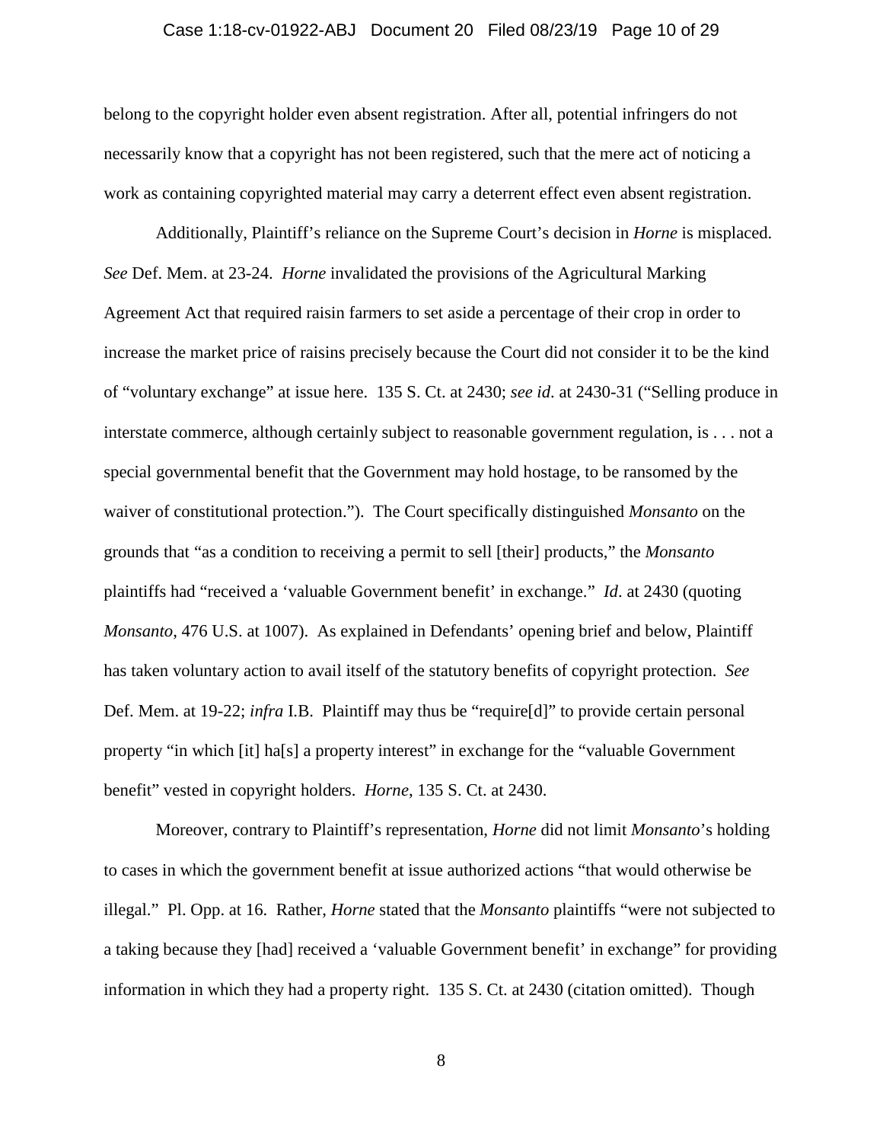### Case 1:18-cv-01922-ABJ Document 20 Filed 08/23/19 Page 10 of 29

belong to the copyright holder even absent registration. After all, potential infringers do not necessarily know that a copyright has not been registered, such that the mere act of noticing a work as containing copyrighted material may carry a deterrent effect even absent registration.

Additionally, Plaintiff's reliance on the Supreme Court's decision in *Horne* is misplaced. *See* Def. Mem. at 23-24. *Horne* invalidated the provisions of the Agricultural Marking Agreement Act that required raisin farmers to set aside a percentage of their crop in order to increase the market price of raisins precisely because the Court did not consider it to be the kind of "voluntary exchange" at issue here. 135 S. Ct. at 2430; *see id*. at 2430-31 ("Selling produce in interstate commerce, although certainly subject to reasonable government regulation, is . . . not a special governmental benefit that the Government may hold hostage, to be ransomed by the waiver of constitutional protection."). The Court specifically distinguished *Monsanto* on the grounds that "as a condition to receiving a permit to sell [their] products," the *Monsanto* plaintiffs had "received a 'valuable Government benefit' in exchange." *Id*. at 2430 (quoting *Monsanto*, 476 U.S. at 1007). As explained in Defendants' opening brief and below, Plaintiff has taken voluntary action to avail itself of the statutory benefits of copyright protection. *See* Def. Mem. at 19-22; *infra* I.B. Plaintiff may thus be "require[d]" to provide certain personal property "in which [it] ha[s] a property interest" in exchange for the "valuable Government benefit" vested in copyright holders. *Horne*, 135 S. Ct. at 2430.

Moreover, contrary to Plaintiff's representation, *Horne* did not limit *Monsanto*'s holding to cases in which the government benefit at issue authorized actions "that would otherwise be illegal." Pl. Opp. at 16. Rather, *Horne* stated that the *Monsanto* plaintiffs "were not subjected to a taking because they [had] received a 'valuable Government benefit' in exchange" for providing information in which they had a property right. 135 S. Ct. at 2430 (citation omitted). Though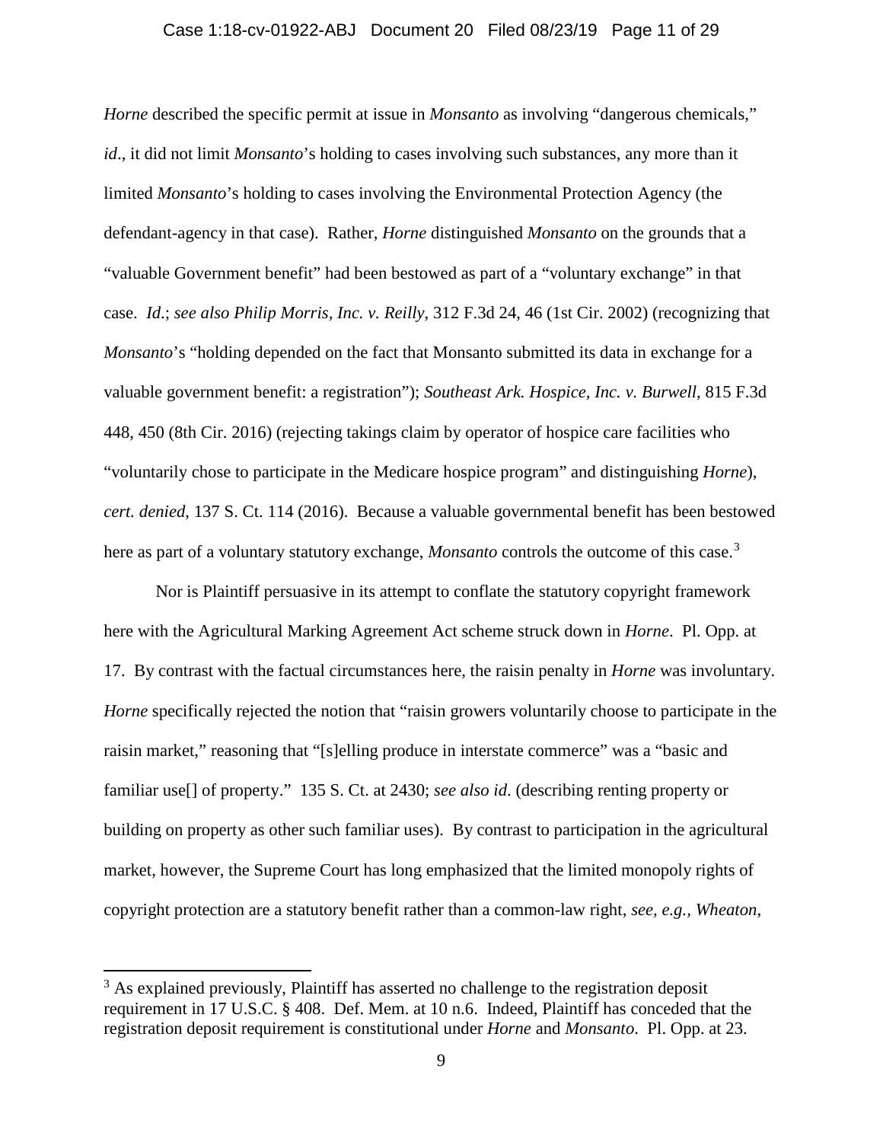### Case 1:18-cv-01922-ABJ Document 20 Filed 08/23/19 Page 11 of 29

*Horne* described the specific permit at issue in *Monsanto* as involving "dangerous chemicals," *id*., it did not limit *Monsanto*'s holding to cases involving such substances, any more than it limited *Monsanto*'s holding to cases involving the Environmental Protection Agency (the defendant-agency in that case). Rather, *Horne* distinguished *Monsanto* on the grounds that a "valuable Government benefit" had been bestowed as part of a "voluntary exchange" in that case. *Id*.; *see also Philip Morris, Inc. v. Reilly*, 312 F.3d 24, 46 (1st Cir. 2002) (recognizing that *Monsanto*'s "holding depended on the fact that Monsanto submitted its data in exchange for a valuable government benefit: a registration"); *Southeast Ark. Hospice, Inc. v. Burwell*, 815 F.3d 448, 450 (8th Cir. 2016) (rejecting takings claim by operator of hospice care facilities who "voluntarily chose to participate in the Medicare hospice program" and distinguishing *Horne*), *cert. denied*, 137 S. Ct. 114 (2016). Because a valuable governmental benefit has been bestowed here as part of a voluntary statutory exchange, *Monsanto* controls the outcome of this case.<sup>[3](#page-10-0)</sup>

Nor is Plaintiff persuasive in its attempt to conflate the statutory copyright framework here with the Agricultural Marking Agreement Act scheme struck down in *Horne*. Pl. Opp. at 17. By contrast with the factual circumstances here, the raisin penalty in *Horne* was involuntary. *Horne* specifically rejected the notion that "raisin growers voluntarily choose to participate in the raisin market," reasoning that "[s]elling produce in interstate commerce" was a "basic and familiar use[] of property." 135 S. Ct. at 2430; *see also id*. (describing renting property or building on property as other such familiar uses). By contrast to participation in the agricultural market, however, the Supreme Court has long emphasized that the limited monopoly rights of copyright protection are a statutory benefit rather than a common-law right, *see, e.g., Wheaton*,

<span id="page-10-0"></span> $3$  As explained previously, Plaintiff has asserted no challenge to the registration deposit requirement in 17 U.S.C. § 408. Def. Mem. at 10 n.6. Indeed, Plaintiff has conceded that the registration deposit requirement is constitutional under *Horne* and *Monsanto*. Pl. Opp. at 23.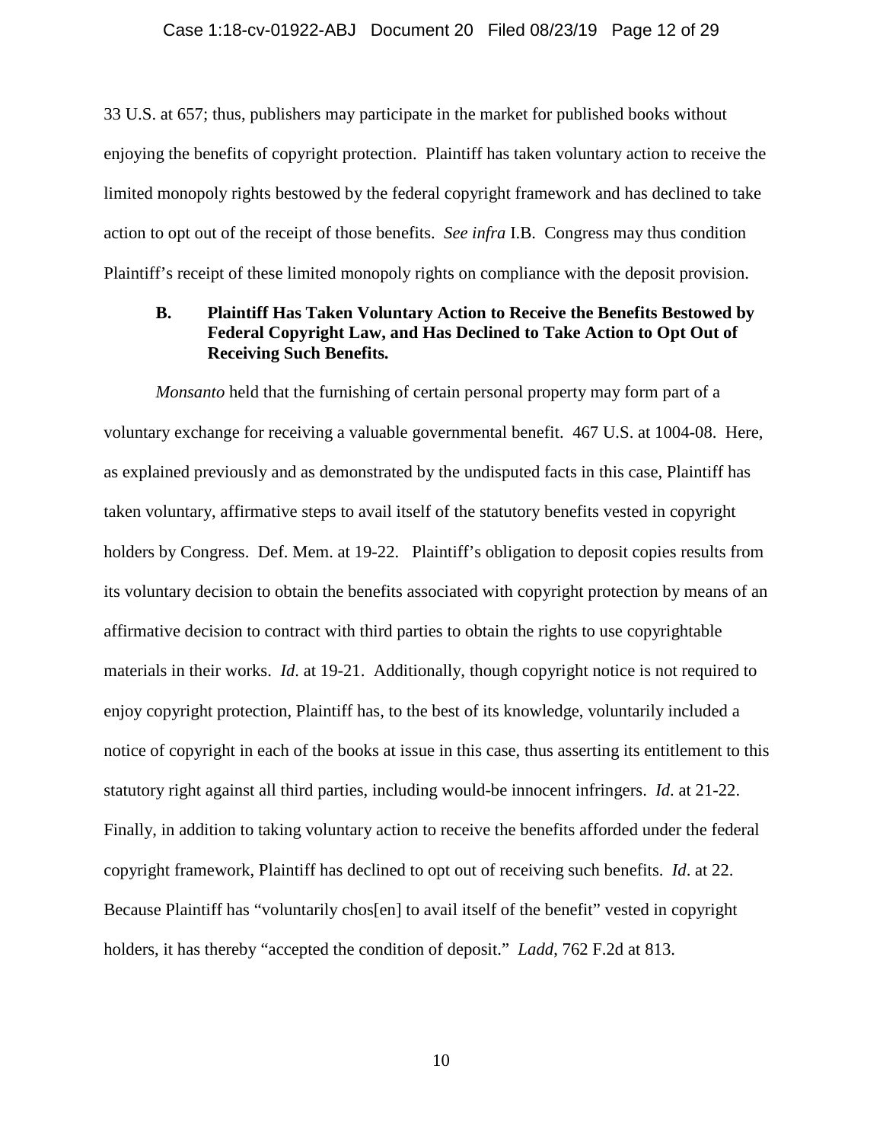#### Case 1:18-cv-01922-ABJ Document 20 Filed 08/23/19 Page 12 of 29

33 U.S. at 657; thus, publishers may participate in the market for published books without enjoying the benefits of copyright protection. Plaintiff has taken voluntary action to receive the limited monopoly rights bestowed by the federal copyright framework and has declined to take action to opt out of the receipt of those benefits. *See infra* I.B. Congress may thus condition Plaintiff's receipt of these limited monopoly rights on compliance with the deposit provision.

# **B. Plaintiff Has Taken Voluntary Action to Receive the Benefits Bestowed by Federal Copyright Law, and Has Declined to Take Action to Opt Out of Receiving Such Benefits.**

*Monsanto* held that the furnishing of certain personal property may form part of a voluntary exchange for receiving a valuable governmental benefit. 467 U.S. at 1004-08. Here, as explained previously and as demonstrated by the undisputed facts in this case, Plaintiff has taken voluntary, affirmative steps to avail itself of the statutory benefits vested in copyright holders by Congress. Def. Mem. at 19-22. Plaintiff's obligation to deposit copies results from its voluntary decision to obtain the benefits associated with copyright protection by means of an affirmative decision to contract with third parties to obtain the rights to use copyrightable materials in their works. *Id*. at 19-21. Additionally, though copyright notice is not required to enjoy copyright protection, Plaintiff has, to the best of its knowledge, voluntarily included a notice of copyright in each of the books at issue in this case, thus asserting its entitlement to this statutory right against all third parties, including would-be innocent infringers. *Id*. at 21-22. Finally, in addition to taking voluntary action to receive the benefits afforded under the federal copyright framework, Plaintiff has declined to opt out of receiving such benefits. *Id*. at 22. Because Plaintiff has "voluntarily chos[en] to avail itself of the benefit" vested in copyright holders, it has thereby "accepted the condition of deposit." *Ladd*, 762 F.2d at 813.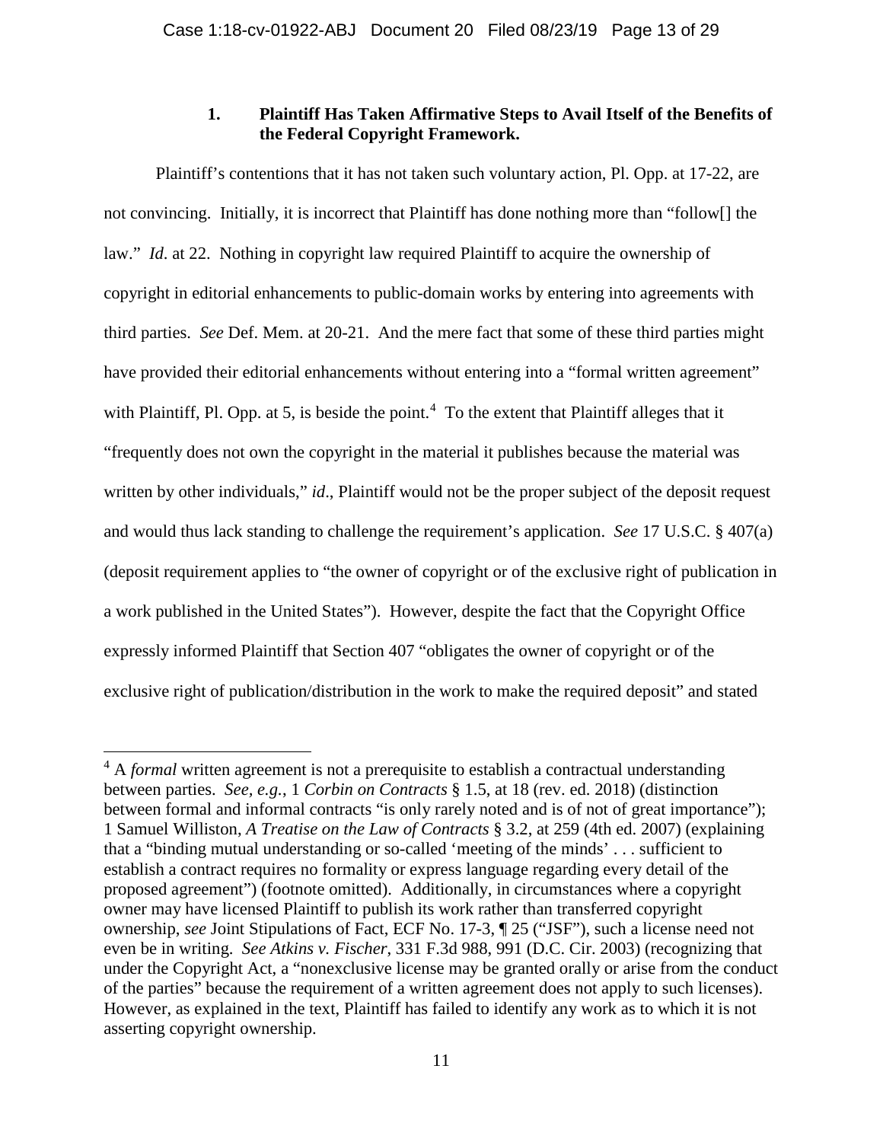# **1. Plaintiff Has Taken Affirmative Steps to Avail Itself of the Benefits of the Federal Copyright Framework.**

Plaintiff's contentions that it has not taken such voluntary action, Pl. Opp. at 17-22, are not convincing. Initially, it is incorrect that Plaintiff has done nothing more than "follow[] the law." *Id*. at 22. Nothing in copyright law required Plaintiff to acquire the ownership of copyright in editorial enhancements to public-domain works by entering into agreements with third parties. *See* Def. Mem. at 20-21. And the mere fact that some of these third parties might have provided their editorial enhancements without entering into a "formal written agreement" with Plaintiff, Pl. Opp. at 5, is beside the point.<sup>[4](#page-12-0)</sup> To the extent that Plaintiff alleges that it "frequently does not own the copyright in the material it publishes because the material was written by other individuals," *id.*, Plaintiff would not be the proper subject of the deposit request and would thus lack standing to challenge the requirement's application. *See* 17 U.S.C. § 407(a) (deposit requirement applies to "the owner of copyright or of the exclusive right of publication in a work published in the United States"). However, despite the fact that the Copyright Office expressly informed Plaintiff that Section 407 "obligates the owner of copyright or of the exclusive right of publication/distribution in the work to make the required deposit" and stated

<span id="page-12-0"></span><sup>&</sup>lt;sup>4</sup> A *formal* written agreement is not a prerequisite to establish a contractual understanding between parties. *See, e.g.*, 1 *Corbin on Contracts* § 1.5, at 18 (rev. ed. 2018) (distinction between formal and informal contracts "is only rarely noted and is of not of great importance"); 1 Samuel Williston, *A Treatise on the Law of Contracts* § 3.2, at 259 (4th ed. 2007) (explaining that a "binding mutual understanding or so-called 'meeting of the minds' . . . sufficient to establish a contract requires no formality or express language regarding every detail of the proposed agreement") (footnote omitted). Additionally, in circumstances where a copyright owner may have licensed Plaintiff to publish its work rather than transferred copyright ownership, *see* Joint Stipulations of Fact, ECF No. 17-3, ¶ 25 ("JSF"), such a license need not even be in writing. *See Atkins v. Fischer*, 331 F.3d 988, 991 (D.C. Cir. 2003) (recognizing that under the Copyright Act, a "nonexclusive license may be granted orally or arise from the conduct of the parties" because the requirement of a written agreement does not apply to such licenses). However, as explained in the text, Plaintiff has failed to identify any work as to which it is not asserting copyright ownership.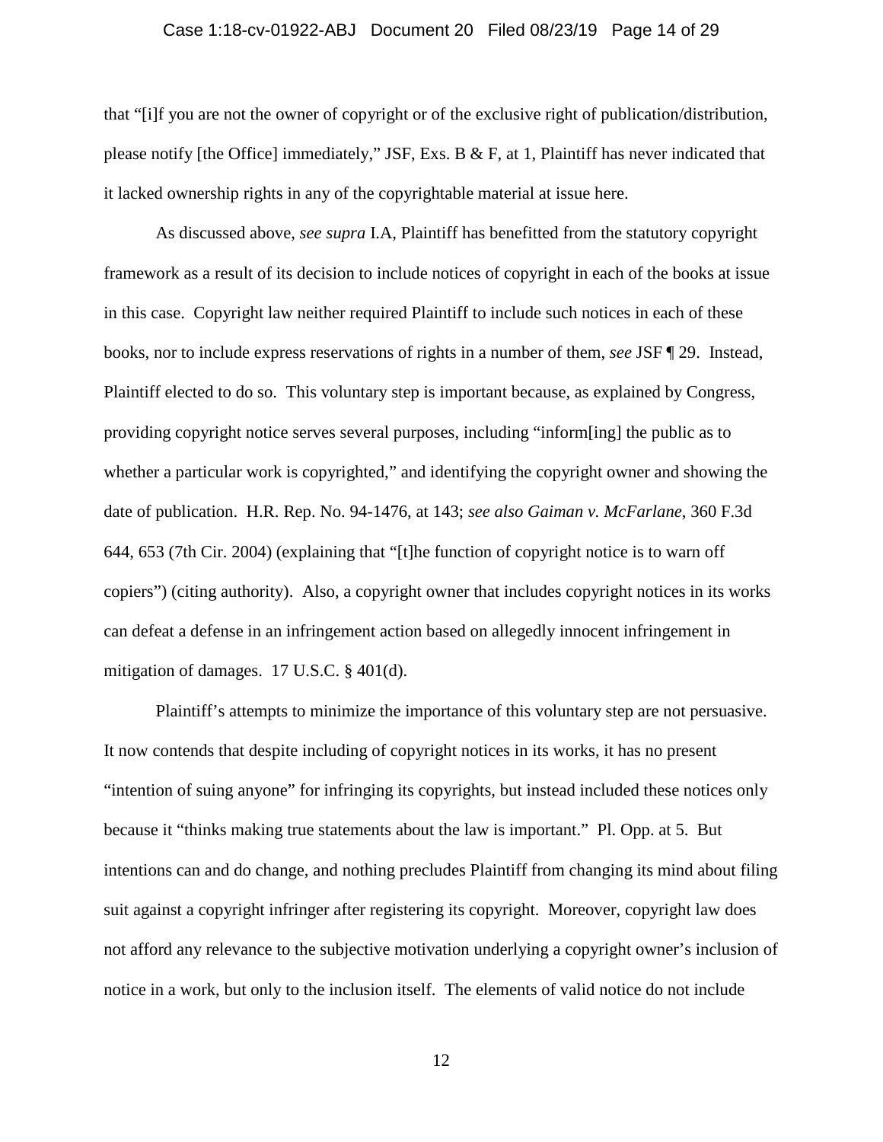### Case 1:18-cv-01922-ABJ Document 20 Filed 08/23/19 Page 14 of 29

that "[i]f you are not the owner of copyright or of the exclusive right of publication/distribution, please notify [the Office] immediately," JSF, Exs. B & F, at 1, Plaintiff has never indicated that it lacked ownership rights in any of the copyrightable material at issue here.

As discussed above, *see supra* I.A, Plaintiff has benefitted from the statutory copyright framework as a result of its decision to include notices of copyright in each of the books at issue in this case. Copyright law neither required Plaintiff to include such notices in each of these books, nor to include express reservations of rights in a number of them, *see* JSF ¶ 29. Instead, Plaintiff elected to do so. This voluntary step is important because, as explained by Congress, providing copyright notice serves several purposes, including "inform[ing] the public as to whether a particular work is copyrighted," and identifying the copyright owner and showing the date of publication. H.R. Rep. No. 94-1476, at 143; *see also Gaiman v. McFarlane*, 360 F.3d 644, 653 (7th Cir. 2004) (explaining that "[t]he function of copyright notice is to warn off copiers") (citing authority). Also, a copyright owner that includes copyright notices in its works can defeat a defense in an infringement action based on allegedly innocent infringement in mitigation of damages. 17 U.S.C. § 401(d).

Plaintiff's attempts to minimize the importance of this voluntary step are not persuasive. It now contends that despite including of copyright notices in its works, it has no present "intention of suing anyone" for infringing its copyrights, but instead included these notices only because it "thinks making true statements about the law is important." Pl. Opp. at 5. But intentions can and do change, and nothing precludes Plaintiff from changing its mind about filing suit against a copyright infringer after registering its copyright. Moreover, copyright law does not afford any relevance to the subjective motivation underlying a copyright owner's inclusion of notice in a work, but only to the inclusion itself. The elements of valid notice do not include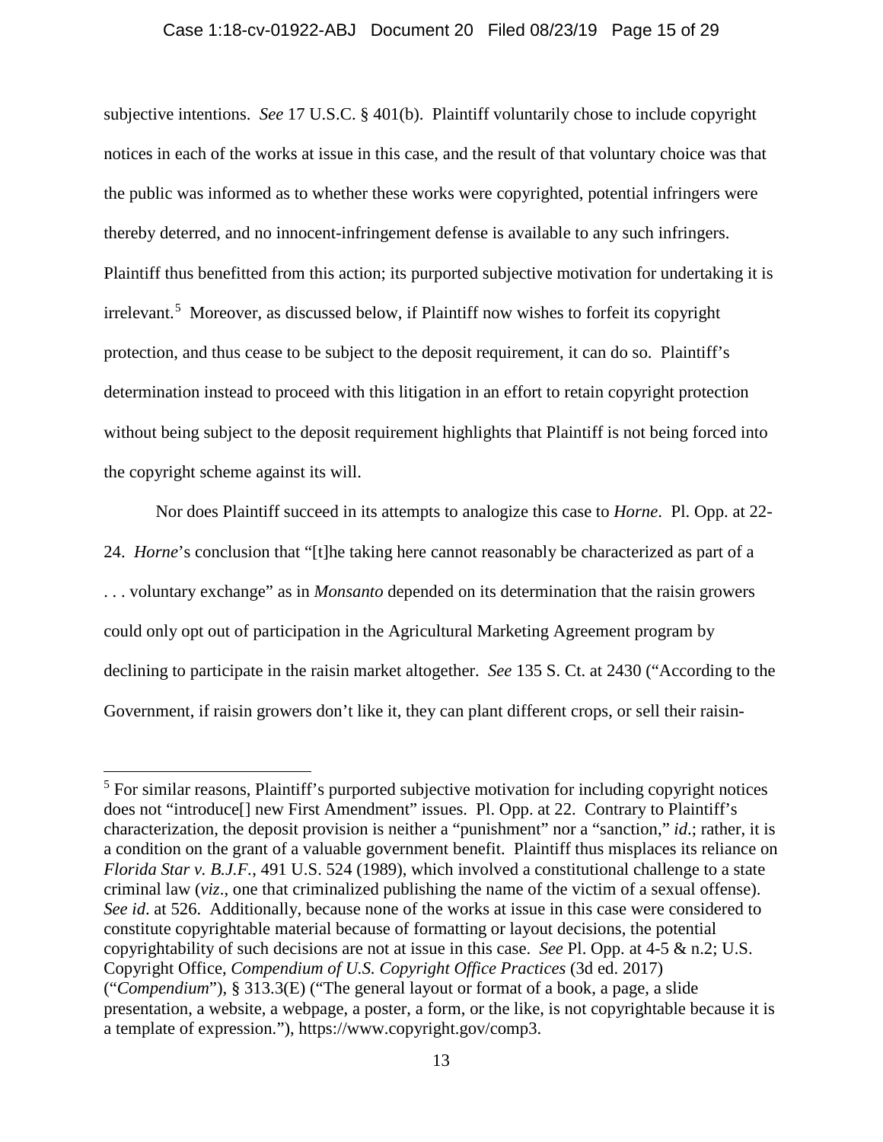### Case 1:18-cv-01922-ABJ Document 20 Filed 08/23/19 Page 15 of 29

subjective intentions. *See* 17 U.S.C. § 401(b). Plaintiff voluntarily chose to include copyright notices in each of the works at issue in this case, and the result of that voluntary choice was that the public was informed as to whether these works were copyrighted, potential infringers were thereby deterred, and no innocent-infringement defense is available to any such infringers. Plaintiff thus benefitted from this action; its purported subjective motivation for undertaking it is irrelevant.<sup>[5](#page-14-0)</sup> Moreover, as discussed below, if Plaintiff now wishes to forfeit its copyright protection, and thus cease to be subject to the deposit requirement, it can do so. Plaintiff's determination instead to proceed with this litigation in an effort to retain copyright protection without being subject to the deposit requirement highlights that Plaintiff is not being forced into the copyright scheme against its will.

Nor does Plaintiff succeed in its attempts to analogize this case to *Horne*. Pl. Opp. at 22- 24. *Horne*'s conclusion that "[t]he taking here cannot reasonably be characterized as part of a . . . voluntary exchange" as in *Monsanto* depended on its determination that the raisin growers could only opt out of participation in the Agricultural Marketing Agreement program by declining to participate in the raisin market altogether. *See* 135 S. Ct. at 2430 ("According to the Government, if raisin growers don't like it, they can plant different crops, or sell their raisin-

<span id="page-14-0"></span><sup>&</sup>lt;sup>5</sup> For similar reasons, Plaintiff's purported subjective motivation for including copyright notices does not "introduce<sup>[]</sup> new First Amendment" issues. Pl. Opp. at 22. Contrary to Plaintiff's characterization, the deposit provision is neither a "punishment" nor a "sanction," *id*.; rather, it is a condition on the grant of a valuable government benefit. Plaintiff thus misplaces its reliance on *Florida Star v. B.J.F.*, 491 U.S. 524 (1989), which involved a constitutional challenge to a state criminal law (*viz*., one that criminalized publishing the name of the victim of a sexual offense). *See id*. at 526. Additionally, because none of the works at issue in this case were considered to constitute copyrightable material because of formatting or layout decisions, the potential copyrightability of such decisions are not at issue in this case. *See* Pl. Opp. at 4-5 & n.2; U.S. Copyright Office, *Compendium of U.S. Copyright Office Practices* (3d ed. 2017) ("*Compendium*"), § 313.3(E) ("The general layout or format of a book, a page, a slide presentation, a website, a webpage, a poster, a form, or the like, is not copyrightable because it is a template of expression."), https://www.copyright.gov/comp3.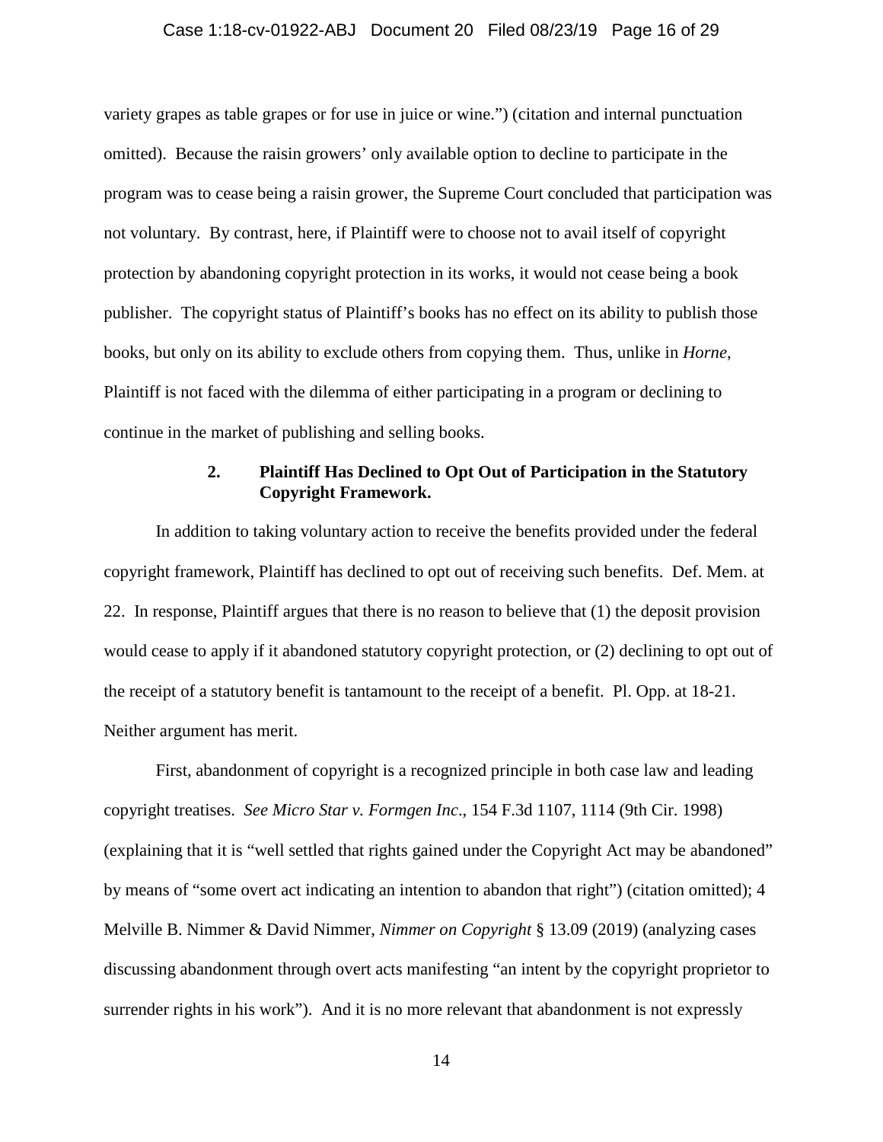### Case 1:18-cv-01922-ABJ Document 20 Filed 08/23/19 Page 16 of 29

variety grapes as table grapes or for use in juice or wine.") (citation and internal punctuation omitted). Because the raisin growers' only available option to decline to participate in the program was to cease being a raisin grower, the Supreme Court concluded that participation was not voluntary. By contrast, here, if Plaintiff were to choose not to avail itself of copyright protection by abandoning copyright protection in its works, it would not cease being a book publisher. The copyright status of Plaintiff's books has no effect on its ability to publish those books, but only on its ability to exclude others from copying them. Thus, unlike in *Horne*, Plaintiff is not faced with the dilemma of either participating in a program or declining to continue in the market of publishing and selling books.

### **2. Plaintiff Has Declined to Opt Out of Participation in the Statutory Copyright Framework.**

In addition to taking voluntary action to receive the benefits provided under the federal copyright framework, Plaintiff has declined to opt out of receiving such benefits. Def. Mem. at 22. In response, Plaintiff argues that there is no reason to believe that (1) the deposit provision would cease to apply if it abandoned statutory copyright protection, or (2) declining to opt out of the receipt of a statutory benefit is tantamount to the receipt of a benefit. Pl. Opp. at 18-21. Neither argument has merit.

First, abandonment of copyright is a recognized principle in both case law and leading copyright treatises. *See Micro Star v. Formgen Inc*., 154 F.3d 1107, 1114 (9th Cir. 1998) (explaining that it is "well settled that rights gained under the Copyright Act may be abandoned" by means of "some overt act indicating an intention to abandon that right") (citation omitted); 4 Melville B. Nimmer & David Nimmer, *Nimmer on Copyright* § 13.09 (2019) (analyzing cases discussing abandonment through overt acts manifesting "an intent by the copyright proprietor to surrender rights in his work"). And it is no more relevant that abandonment is not expressly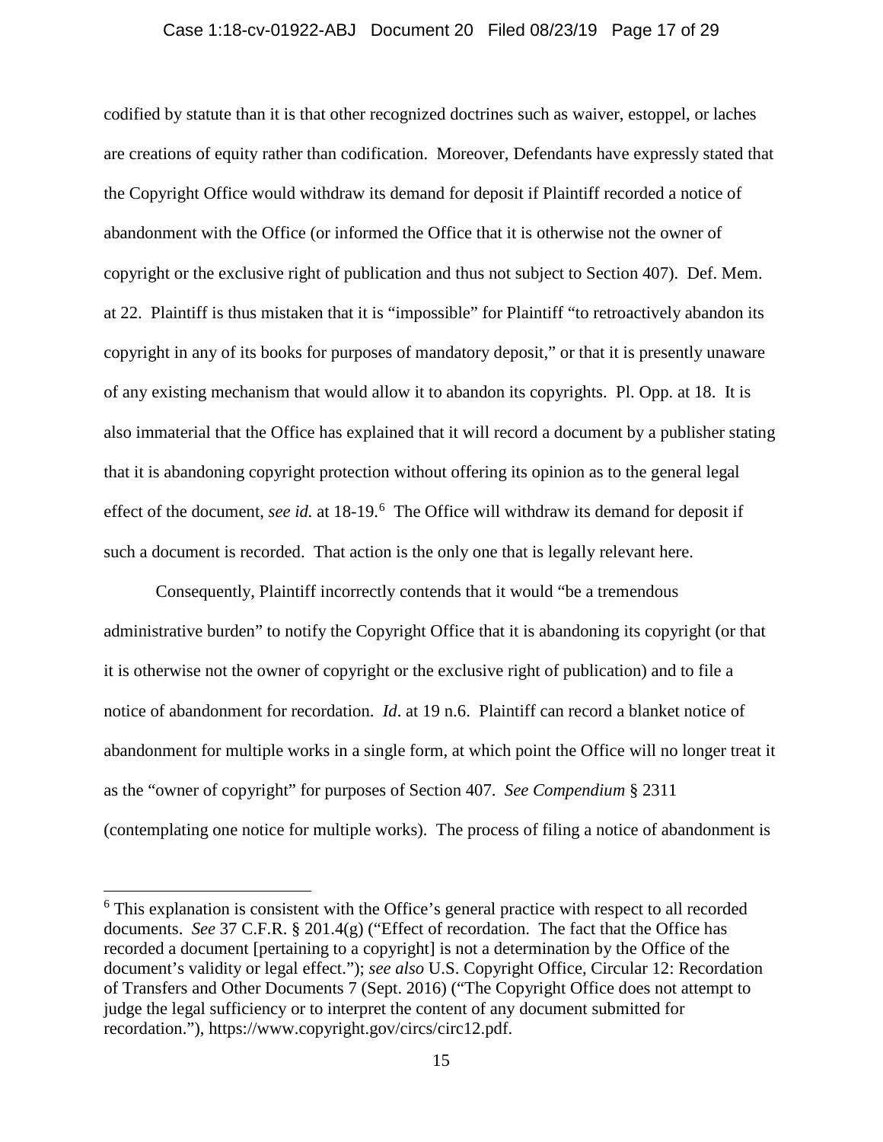#### Case 1:18-cv-01922-ABJ Document 20 Filed 08/23/19 Page 17 of 29

codified by statute than it is that other recognized doctrines such as waiver, estoppel, or laches are creations of equity rather than codification. Moreover, Defendants have expressly stated that the Copyright Office would withdraw its demand for deposit if Plaintiff recorded a notice of abandonment with the Office (or informed the Office that it is otherwise not the owner of copyright or the exclusive right of publication and thus not subject to Section 407). Def. Mem. at 22. Plaintiff is thus mistaken that it is "impossible" for Plaintiff "to retroactively abandon its copyright in any of its books for purposes of mandatory deposit," or that it is presently unaware of any existing mechanism that would allow it to abandon its copyrights. Pl. Opp. at 18. It is also immaterial that the Office has explained that it will record a document by a publisher stating that it is abandoning copyright protection without offering its opinion as to the general legal effect of the document, *see id.* at 18-19.<sup>[6](#page-16-0)</sup> The Office will withdraw its demand for deposit if such a document is recorded. That action is the only one that is legally relevant here.

Consequently, Plaintiff incorrectly contends that it would "be a tremendous administrative burden" to notify the Copyright Office that it is abandoning its copyright (or that it is otherwise not the owner of copyright or the exclusive right of publication) and to file a notice of abandonment for recordation. *Id*. at 19 n.6. Plaintiff can record a blanket notice of abandonment for multiple works in a single form, at which point the Office will no longer treat it as the "owner of copyright" for purposes of Section 407. *See Compendium* § 2311 (contemplating one notice for multiple works). The process of filing a notice of abandonment is

l

<span id="page-16-0"></span><sup>&</sup>lt;sup>6</sup> This explanation is consistent with the Office's general practice with respect to all recorded documents. *See* 37 C.F.R. § 201.4(g) ("Effect of recordation. The fact that the Office has recorded a document [pertaining to a copyright] is not a determination by the Office of the document's validity or legal effect."); *see also* U.S. Copyright Office, Circular 12: Recordation of Transfers and Other Documents 7 (Sept. 2016) ("The Copyright Office does not attempt to judge the legal sufficiency or to interpret the content of any document submitted for recordation."), https://www.copyright.gov/circs/circ12.pdf.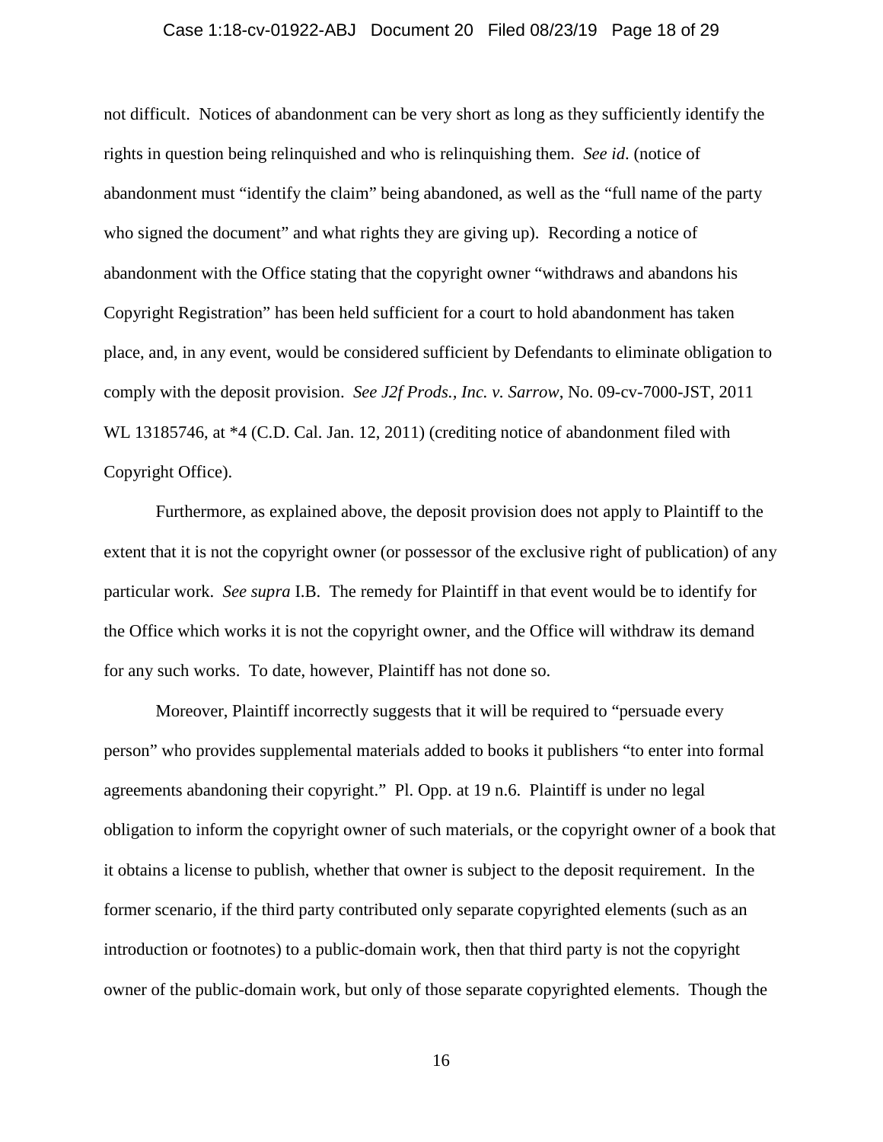#### Case 1:18-cv-01922-ABJ Document 20 Filed 08/23/19 Page 18 of 29

not difficult. Notices of abandonment can be very short as long as they sufficiently identify the rights in question being relinquished and who is relinquishing them. *See id*. (notice of abandonment must "identify the claim" being abandoned, as well as the "full name of the party who signed the document" and what rights they are giving up). Recording a notice of abandonment with the Office stating that the copyright owner "withdraws and abandons his Copyright Registration" has been held sufficient for a court to hold abandonment has taken place, and, in any event, would be considered sufficient by Defendants to eliminate obligation to comply with the deposit provision. *See J2f Prods., Inc. v. Sarrow*, No. 09-cv-7000-JST, 2011 WL 13185746, at  $*4$  (C.D. Cal. Jan. 12, 2011) (crediting notice of abandonment filed with Copyright Office).

Furthermore, as explained above, the deposit provision does not apply to Plaintiff to the extent that it is not the copyright owner (or possessor of the exclusive right of publication) of any particular work. *See supra* I.B. The remedy for Plaintiff in that event would be to identify for the Office which works it is not the copyright owner, and the Office will withdraw its demand for any such works. To date, however, Plaintiff has not done so.

Moreover, Plaintiff incorrectly suggests that it will be required to "persuade every person" who provides supplemental materials added to books it publishers "to enter into formal agreements abandoning their copyright." Pl. Opp. at 19 n.6. Plaintiff is under no legal obligation to inform the copyright owner of such materials, or the copyright owner of a book that it obtains a license to publish, whether that owner is subject to the deposit requirement. In the former scenario, if the third party contributed only separate copyrighted elements (such as an introduction or footnotes) to a public-domain work, then that third party is not the copyright owner of the public-domain work, but only of those separate copyrighted elements. Though the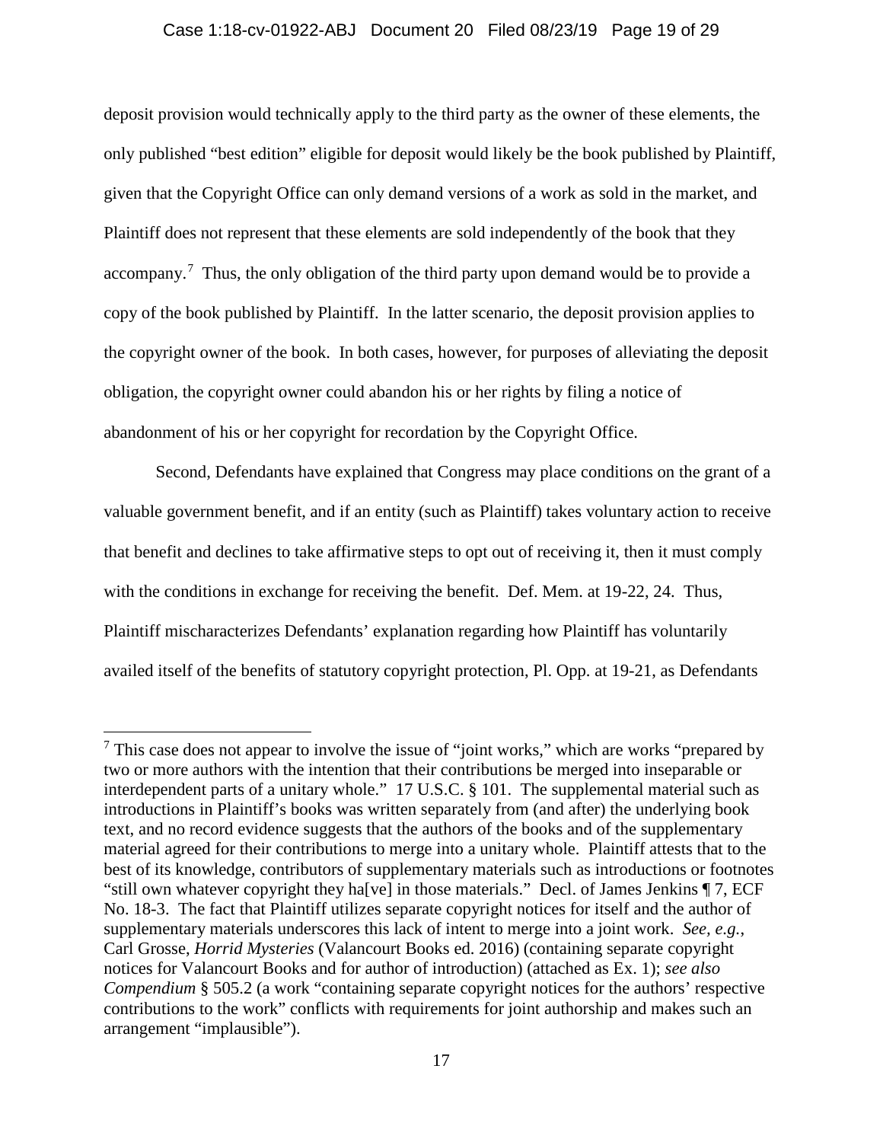### Case 1:18-cv-01922-ABJ Document 20 Filed 08/23/19 Page 19 of 29

deposit provision would technically apply to the third party as the owner of these elements, the only published "best edition" eligible for deposit would likely be the book published by Plaintiff, given that the Copyright Office can only demand versions of a work as sold in the market, and Plaintiff does not represent that these elements are sold independently of the book that they accompany.<sup>[7](#page-18-0)</sup> Thus, the only obligation of the third party upon demand would be to provide a copy of the book published by Plaintiff. In the latter scenario, the deposit provision applies to the copyright owner of the book. In both cases, however, for purposes of alleviating the deposit obligation, the copyright owner could abandon his or her rights by filing a notice of abandonment of his or her copyright for recordation by the Copyright Office.

Second, Defendants have explained that Congress may place conditions on the grant of a valuable government benefit, and if an entity (such as Plaintiff) takes voluntary action to receive that benefit and declines to take affirmative steps to opt out of receiving it, then it must comply with the conditions in exchange for receiving the benefit. Def. Mem. at 19-22, 24. Thus, Plaintiff mischaracterizes Defendants' explanation regarding how Plaintiff has voluntarily availed itself of the benefits of statutory copyright protection, Pl. Opp. at 19-21, as Defendants

 $\overline{a}$ 

<span id="page-18-0"></span> $<sup>7</sup>$  This case does not appear to involve the issue of "joint works," which are works "prepared by</sup> two or more authors with the intention that their contributions be merged into inseparable or interdependent parts of a unitary whole." 17 U.S.C. § 101. The supplemental material such as introductions in Plaintiff's books was written separately from (and after) the underlying book text, and no record evidence suggests that the authors of the books and of the supplementary material agreed for their contributions to merge into a unitary whole. Plaintiff attests that to the best of its knowledge, contributors of supplementary materials such as introductions or footnotes "still own whatever copyright they ha[ve] in those materials." Decl. of James Jenkins ¶ 7, ECF No. 18-3. The fact that Plaintiff utilizes separate copyright notices for itself and the author of supplementary materials underscores this lack of intent to merge into a joint work. *See, e.g.*, Carl Grosse, *Horrid Mysteries* (Valancourt Books ed. 2016) (containing separate copyright notices for Valancourt Books and for author of introduction) (attached as Ex. 1); *see also Compendium* § 505.2 (a work "containing separate copyright notices for the authors' respective contributions to the work" conflicts with requirements for joint authorship and makes such an arrangement "implausible").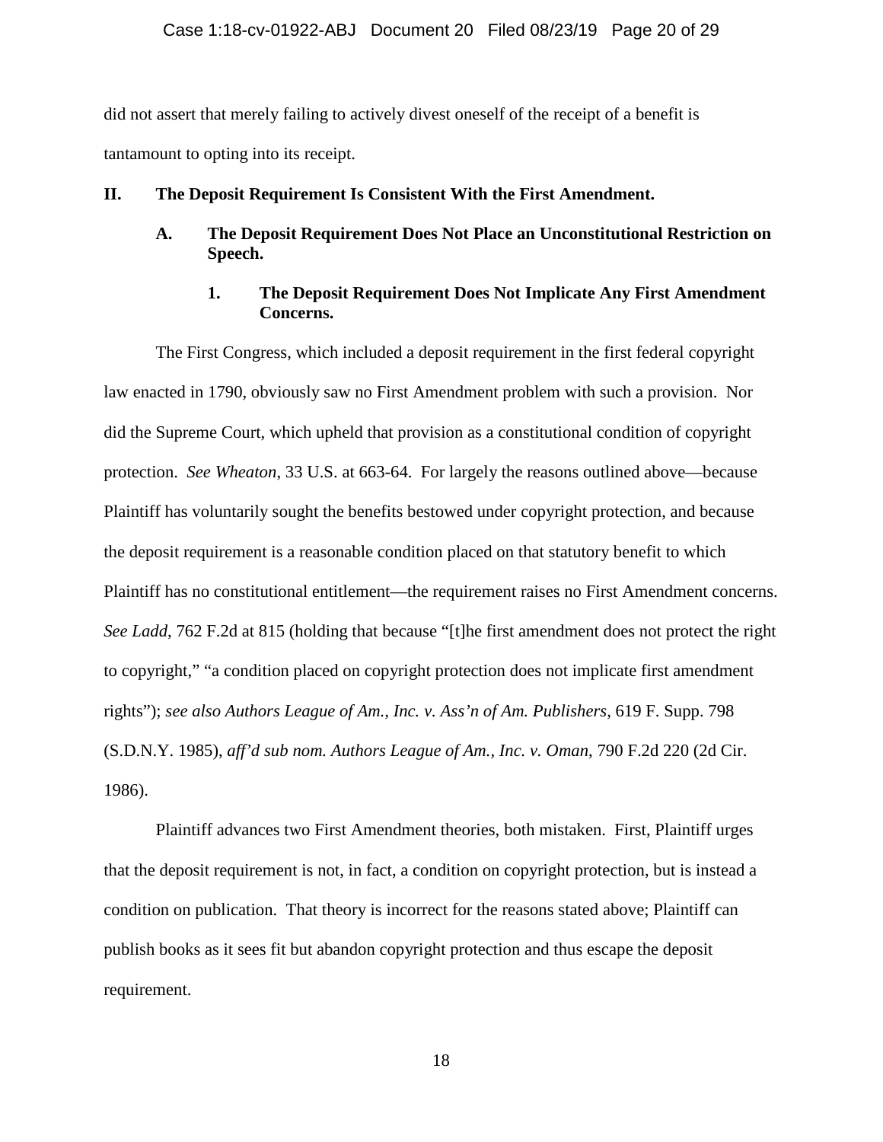### Case 1:18-cv-01922-ABJ Document 20 Filed 08/23/19 Page 20 of 29

did not assert that merely failing to actively divest oneself of the receipt of a benefit is tantamount to opting into its receipt.

### **II. The Deposit Requirement Is Consistent With the First Amendment.**

**A. The Deposit Requirement Does Not Place an Unconstitutional Restriction on Speech.** 

# **1. The Deposit Requirement Does Not Implicate Any First Amendment Concerns.**

The First Congress, which included a deposit requirement in the first federal copyright law enacted in 1790, obviously saw no First Amendment problem with such a provision. Nor did the Supreme Court, which upheld that provision as a constitutional condition of copyright protection. *See Wheaton*, 33 U.S. at 663-64. For largely the reasons outlined above—because Plaintiff has voluntarily sought the benefits bestowed under copyright protection, and because the deposit requirement is a reasonable condition placed on that statutory benefit to which Plaintiff has no constitutional entitlement—the requirement raises no First Amendment concerns. *See Ladd*, 762 F.2d at 815 (holding that because "[t]he first amendment does not protect the right to copyright," "a condition placed on copyright protection does not implicate first amendment rights"); *see also Authors League of Am., Inc. v. Ass'n of Am. Publishers*, 619 F. Supp. 798 (S.D.N.Y. 1985), *aff'd sub nom. Authors League of Am., Inc. v. Oman*, 790 F.2d 220 (2d Cir. 1986).

Plaintiff advances two First Amendment theories, both mistaken. First, Plaintiff urges that the deposit requirement is not, in fact, a condition on copyright protection, but is instead a condition on publication. That theory is incorrect for the reasons stated above; Plaintiff can publish books as it sees fit but abandon copyright protection and thus escape the deposit requirement.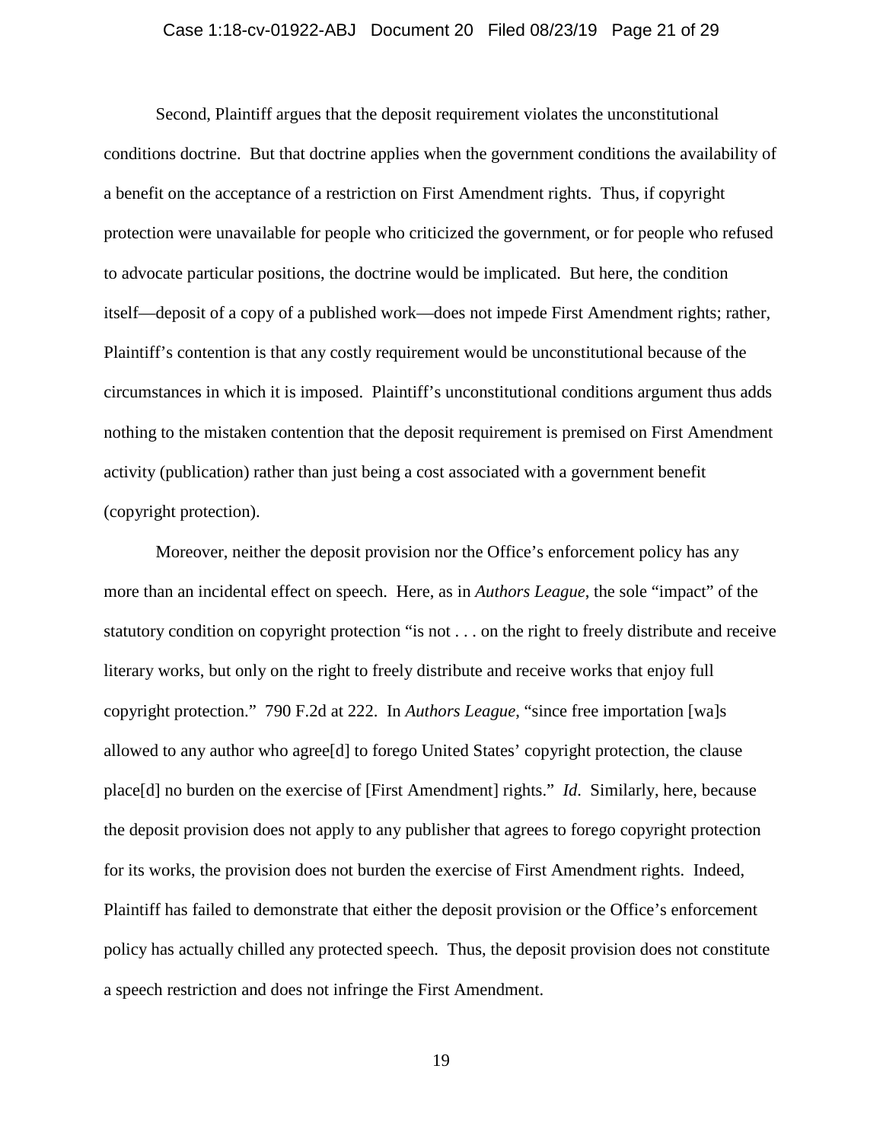# Case 1:18-cv-01922-ABJ Document 20 Filed 08/23/19 Page 21 of 29

Second, Plaintiff argues that the deposit requirement violates the unconstitutional conditions doctrine. But that doctrine applies when the government conditions the availability of a benefit on the acceptance of a restriction on First Amendment rights. Thus, if copyright protection were unavailable for people who criticized the government, or for people who refused to advocate particular positions, the doctrine would be implicated. But here, the condition itself—deposit of a copy of a published work—does not impede First Amendment rights; rather, Plaintiff's contention is that any costly requirement would be unconstitutional because of the circumstances in which it is imposed. Plaintiff's unconstitutional conditions argument thus adds nothing to the mistaken contention that the deposit requirement is premised on First Amendment activity (publication) rather than just being a cost associated with a government benefit (copyright protection).

Moreover, neither the deposit provision nor the Office's enforcement policy has any more than an incidental effect on speech. Here, as in *Authors League*, the sole "impact" of the statutory condition on copyright protection "is not . . . on the right to freely distribute and receive literary works, but only on the right to freely distribute and receive works that enjoy full copyright protection." 790 F.2d at 222. In *Authors League*, "since free importation [wa]s allowed to any author who agree[d] to forego United States' copyright protection, the clause place[d] no burden on the exercise of [First Amendment] rights." *Id*. Similarly, here, because the deposit provision does not apply to any publisher that agrees to forego copyright protection for its works, the provision does not burden the exercise of First Amendment rights. Indeed, Plaintiff has failed to demonstrate that either the deposit provision or the Office's enforcement policy has actually chilled any protected speech. Thus, the deposit provision does not constitute a speech restriction and does not infringe the First Amendment.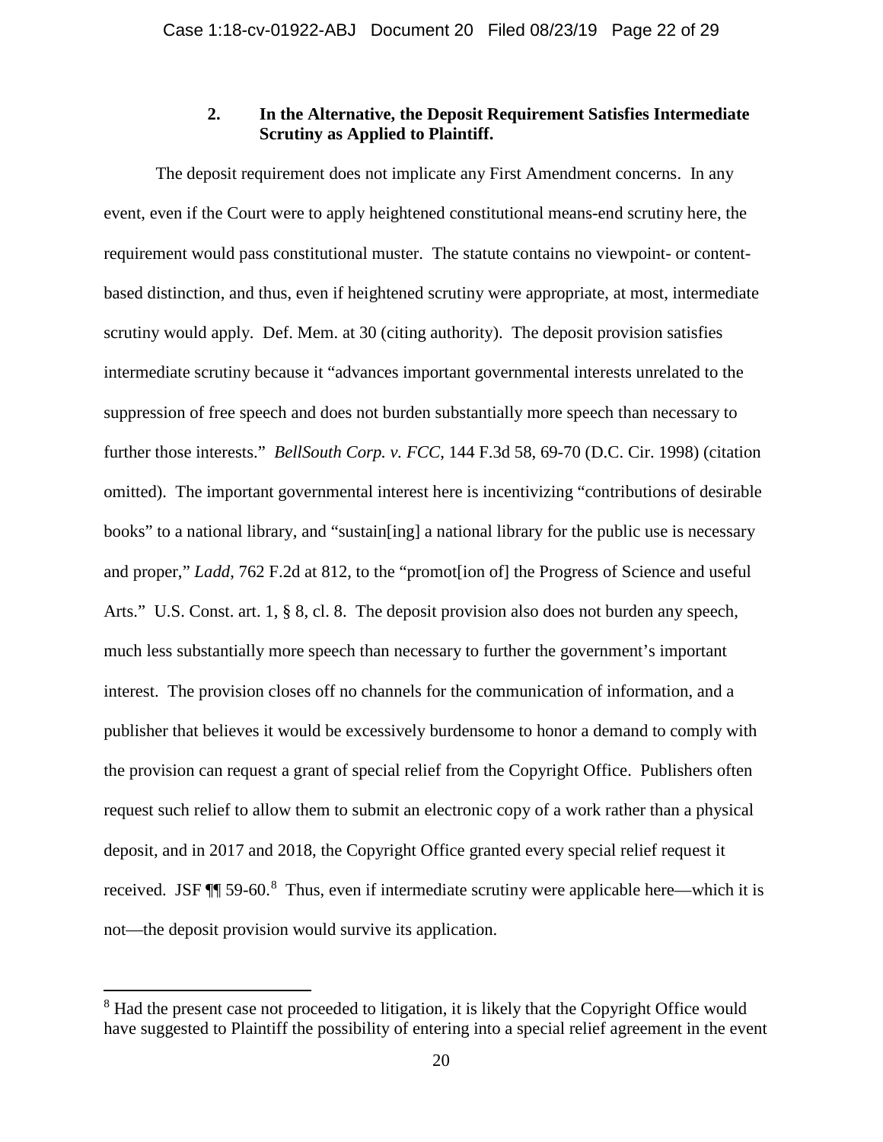### **2. In the Alternative, the Deposit Requirement Satisfies Intermediate Scrutiny as Applied to Plaintiff.**

The deposit requirement does not implicate any First Amendment concerns. In any event, even if the Court were to apply heightened constitutional means-end scrutiny here, the requirement would pass constitutional muster. The statute contains no viewpoint- or contentbased distinction, and thus, even if heightened scrutiny were appropriate, at most, intermediate scrutiny would apply. Def. Mem. at 30 (citing authority). The deposit provision satisfies intermediate scrutiny because it "advances important governmental interests unrelated to the suppression of free speech and does not burden substantially more speech than necessary to further those interests." *BellSouth Corp. v. FCC*, 144 F.3d 58, 69-70 (D.C. Cir. 1998) (citation omitted). The important governmental interest here is incentivizing "contributions of desirable books" to a national library, and "sustain[ing] a national library for the public use is necessary and proper," *Ladd*, 762 F.2d at 812, to the "promot[ion of] the Progress of Science and useful Arts." U.S. Const. art. 1, § 8, cl. 8. The deposit provision also does not burden any speech, much less substantially more speech than necessary to further the government's important interest. The provision closes off no channels for the communication of information, and a publisher that believes it would be excessively burdensome to honor a demand to comply with the provision can request a grant of special relief from the Copyright Office. Publishers often request such relief to allow them to submit an electronic copy of a work rather than a physical deposit, and in 2017 and 2018, the Copyright Office granted every special relief request it received. JSF  $\P$  59-60.<sup>[8](#page-21-0)</sup> Thus, even if intermediate scrutiny were applicable here—which it is not—the deposit provision would survive its application.

l

<span id="page-21-0"></span><sup>&</sup>lt;sup>8</sup> Had the present case not proceeded to litigation, it is likely that the Copyright Office would have suggested to Plaintiff the possibility of entering into a special relief agreement in the event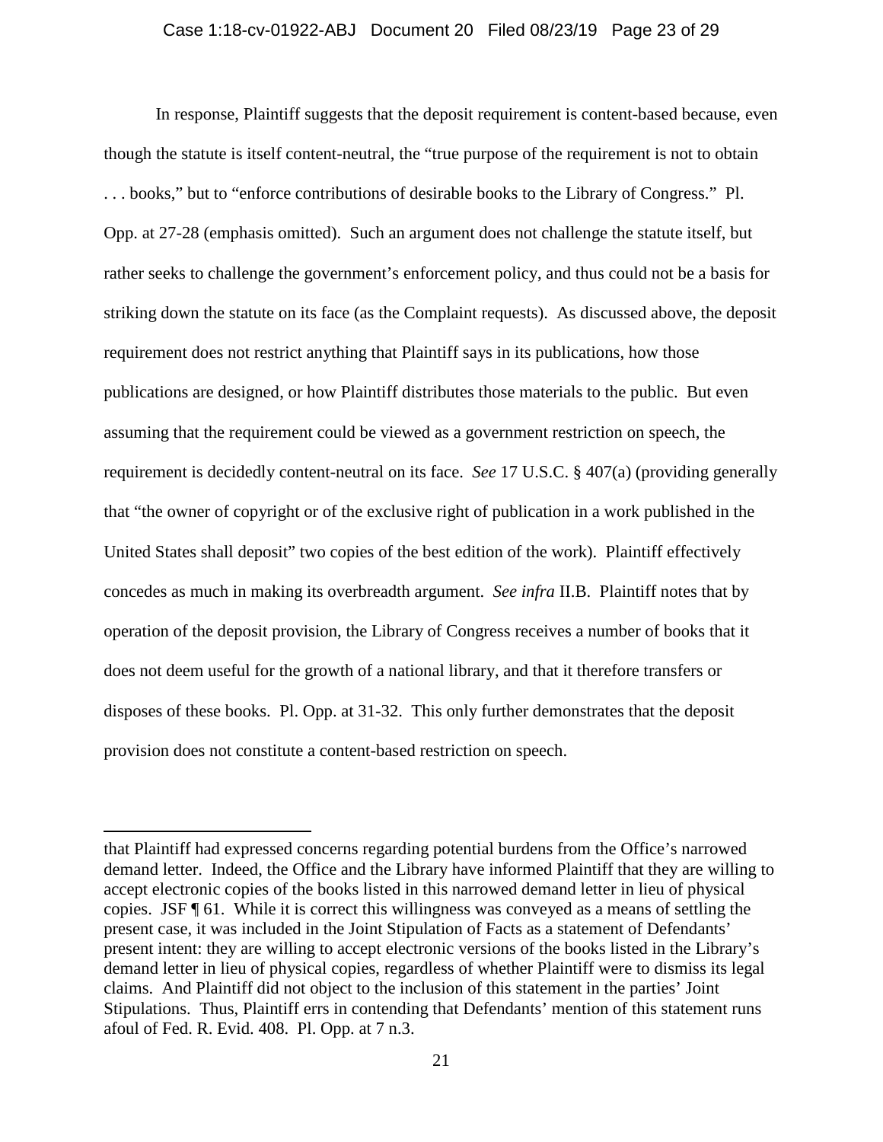#### Case 1:18-cv-01922-ABJ Document 20 Filed 08/23/19 Page 23 of 29

In response, Plaintiff suggests that the deposit requirement is content-based because, even though the statute is itself content-neutral, the "true purpose of the requirement is not to obtain . . . books," but to "enforce contributions of desirable books to the Library of Congress." Pl. Opp. at 27-28 (emphasis omitted). Such an argument does not challenge the statute itself, but rather seeks to challenge the government's enforcement policy, and thus could not be a basis for striking down the statute on its face (as the Complaint requests). As discussed above, the deposit requirement does not restrict anything that Plaintiff says in its publications, how those publications are designed, or how Plaintiff distributes those materials to the public. But even assuming that the requirement could be viewed as a government restriction on speech, the requirement is decidedly content-neutral on its face. *See* 17 U.S.C. § 407(a) (providing generally that "the owner of copyright or of the exclusive right of publication in a work published in the United States shall deposit" two copies of the best edition of the work). Plaintiff effectively concedes as much in making its overbreadth argument. *See infra* II.B. Plaintiff notes that by operation of the deposit provision, the Library of Congress receives a number of books that it does not deem useful for the growth of a national library, and that it therefore transfers or disposes of these books. Pl. Opp. at 31-32. This only further demonstrates that the deposit provision does not constitute a content-based restriction on speech.

 $\overline{a}$ 

that Plaintiff had expressed concerns regarding potential burdens from the Office's narrowed demand letter. Indeed, the Office and the Library have informed Plaintiff that they are willing to accept electronic copies of the books listed in this narrowed demand letter in lieu of physical copies. JSF ¶ 61. While it is correct this willingness was conveyed as a means of settling the present case, it was included in the Joint Stipulation of Facts as a statement of Defendants' present intent: they are willing to accept electronic versions of the books listed in the Library's demand letter in lieu of physical copies, regardless of whether Plaintiff were to dismiss its legal claims.And Plaintiff did not object to the inclusion of this statement in the parties' Joint Stipulations. Thus, Plaintiff errs in contending that Defendants' mention of this statement runs afoul of Fed. R. Evid. 408. Pl. Opp. at 7 n.3.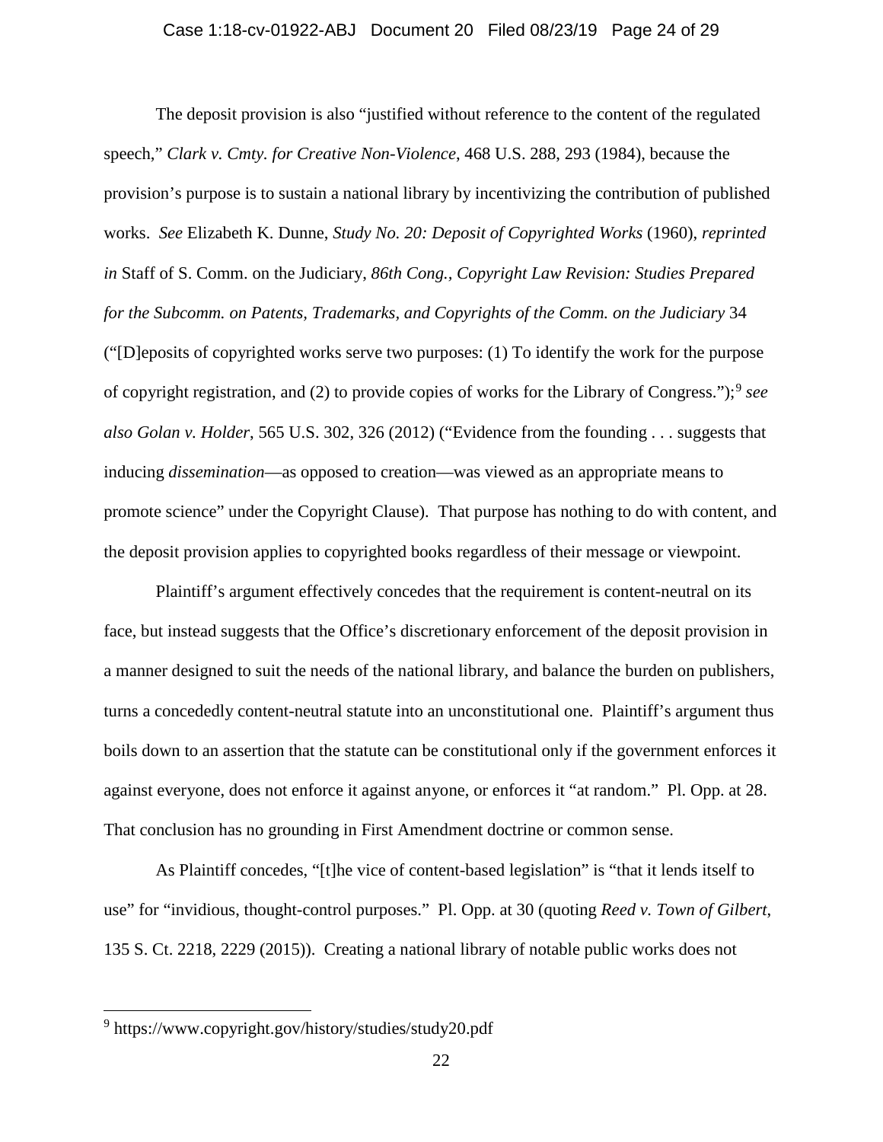# Case 1:18-cv-01922-ABJ Document 20 Filed 08/23/19 Page 24 of 29

The deposit provision is also "justified without reference to the content of the regulated speech," *Clark v. Cmty. for Creative Non-Violence*, 468 U.S. 288, 293 (1984), because the provision's purpose is to sustain a national library by incentivizing the contribution of published works. *See* Elizabeth K. Dunne, *Study No. 20: Deposit of Copyrighted Works* (1960), *reprinted in* Staff of S. Comm. on the Judiciary, *86th Cong., Copyright Law Revision: Studies Prepared for the Subcomm. on Patents, Trademarks, and Copyrights of the Comm. on the Judiciary* 34 ("[D]eposits of copyrighted works serve two purposes: (1) To identify the work for the purpose of copyright registration, and (2) to provide copies of works for the Library of Congress.");[9](#page-23-0) *see also Golan v. Holder*, 565 U.S. 302, 326 (2012) ("Evidence from the founding . . . suggests that inducing *dissemination*—as opposed to creation—was viewed as an appropriate means to promote science" under the Copyright Clause). That purpose has nothing to do with content, and the deposit provision applies to copyrighted books regardless of their message or viewpoint.

Plaintiff's argument effectively concedes that the requirement is content-neutral on its face, but instead suggests that the Office's discretionary enforcement of the deposit provision in a manner designed to suit the needs of the national library, and balance the burden on publishers, turns a concededly content-neutral statute into an unconstitutional one. Plaintiff's argument thus boils down to an assertion that the statute can be constitutional only if the government enforces it against everyone, does not enforce it against anyone, or enforces it "at random." Pl. Opp. at 28. That conclusion has no grounding in First Amendment doctrine or common sense.

As Plaintiff concedes, "[t]he vice of content-based legislation" is "that it lends itself to use" for "invidious, thought-control purposes." Pl. Opp. at 30 (quoting *Reed v. Town of Gilbert*, 135 S. Ct. 2218, 2229 (2015)). Creating a national library of notable public works does not

l

<span id="page-23-0"></span><sup>&</sup>lt;sup>9</sup> https://www.copyright.gov/history/studies/study20.pdf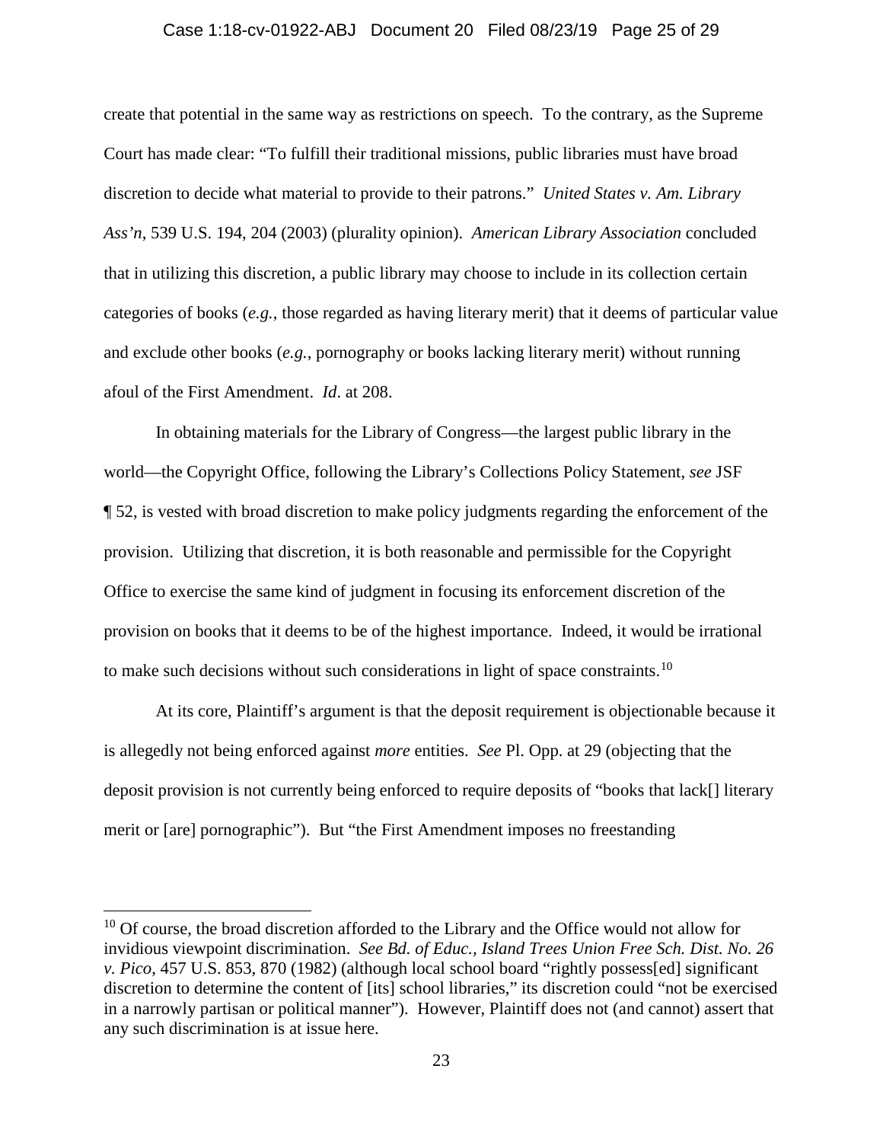#### Case 1:18-cv-01922-ABJ Document 20 Filed 08/23/19 Page 25 of 29

create that potential in the same way as restrictions on speech. To the contrary, as the Supreme Court has made clear: "To fulfill their traditional missions, public libraries must have broad discretion to decide what material to provide to their patrons." *United States v. Am. Library Ass'n*, 539 U.S. 194, 204 (2003) (plurality opinion). *American Library Association* concluded that in utilizing this discretion, a public library may choose to include in its collection certain categories of books (*e.g.*, those regarded as having literary merit) that it deems of particular value and exclude other books (*e.g.*, pornography or books lacking literary merit) without running afoul of the First Amendment. *Id*. at 208.

In obtaining materials for the Library of Congress—the largest public library in the world—the Copyright Office, following the Library's Collections Policy Statement, *see* JSF ¶ 52, is vested with broad discretion to make policy judgments regarding the enforcement of the provision. Utilizing that discretion, it is both reasonable and permissible for the Copyright Office to exercise the same kind of judgment in focusing its enforcement discretion of the provision on books that it deems to be of the highest importance. Indeed, it would be irrational to make such decisions without such considerations in light of space constraints.<sup>10</sup>

At its core, Plaintiff's argument is that the deposit requirement is objectionable because it is allegedly not being enforced against *more* entities. *See* Pl. Opp. at 29 (objecting that the deposit provision is not currently being enforced to require deposits of "books that lack[] literary merit or [are] pornographic"). But "the First Amendment imposes no freestanding

l

<span id="page-24-0"></span><sup>&</sup>lt;sup>10</sup> Of course, the broad discretion afforded to the Library and the Office would not allow for invidious viewpoint discrimination. *See Bd. of Educ., Island Trees Union Free Sch. Dist. No. 26 v. Pico*, 457 U.S. 853, 870 (1982) (although local school board "rightly possess[ed] significant discretion to determine the content of [its] school libraries," its discretion could "not be exercised in a narrowly partisan or political manner"). However, Plaintiff does not (and cannot) assert that any such discrimination is at issue here.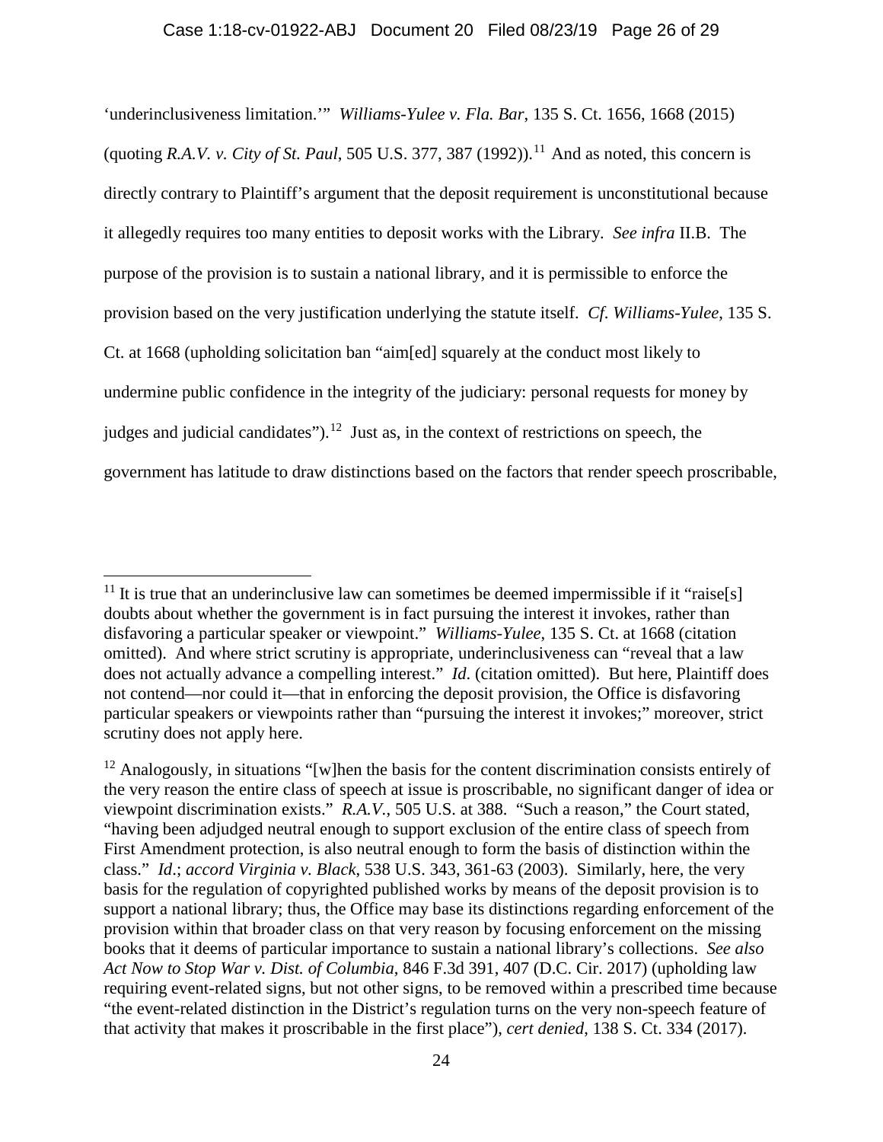'underinclusiveness limitation.'" *Williams-Yulee v. Fla. Bar*, 135 S. Ct. 1656, 1668 (2015) (quoting *R.A.V. v. City of St. Paul*, 505 U.S. 377, 387 (1992)).<sup>[11](#page-25-0)</sup> And as noted, this concern is directly contrary to Plaintiff's argument that the deposit requirement is unconstitutional because it allegedly requires too many entities to deposit works with the Library. *See infra* II.B. The purpose of the provision is to sustain a national library, and it is permissible to enforce the provision based on the very justification underlying the statute itself. *Cf*. *Williams-Yulee*, 135 S. Ct. at 1668 (upholding solicitation ban "aim[ed] squarely at the conduct most likely to undermine public confidence in the integrity of the judiciary: personal requests for money by judges and judicial candidates").<sup>[12](#page-25-1)</sup> Just as, in the context of restrictions on speech, the government has latitude to draw distinctions based on the factors that render speech proscribable,

<span id="page-25-0"></span><sup>&</sup>lt;sup>11</sup> It is true that an underinclusive law can sometimes be deemed impermissible if it "raise[s] doubts about whether the government is in fact pursuing the interest it invokes, rather than disfavoring a particular speaker or viewpoint." *Williams-Yulee*, 135 S. Ct. at 1668 (citation omitted). And where strict scrutiny is appropriate, underinclusiveness can "reveal that a law does not actually advance a compelling interest." *Id*. (citation omitted). But here, Plaintiff does not contend—nor could it—that in enforcing the deposit provision, the Office is disfavoring particular speakers or viewpoints rather than "pursuing the interest it invokes;" moreover, strict scrutiny does not apply here.

<span id="page-25-1"></span><sup>&</sup>lt;sup>12</sup> Analogously, in situations "[w]hen the basis for the content discrimination consists entirely of the very reason the entire class of speech at issue is proscribable, no significant danger of idea or viewpoint discrimination exists." *R.A.V.*, 505 U.S. at 388. "Such a reason," the Court stated, "having been adjudged neutral enough to support exclusion of the entire class of speech from First Amendment protection, is also neutral enough to form the basis of distinction within the class." *Id*.; *accord Virginia v. Black*, 538 U.S. 343, 361-63 (2003). Similarly, here, the very basis for the regulation of copyrighted published works by means of the deposit provision is to support a national library; thus, the Office may base its distinctions regarding enforcement of the provision within that broader class on that very reason by focusing enforcement on the missing books that it deems of particular importance to sustain a national library's collections. *See also Act Now to Stop War v. Dist. of Columbia*, 846 F.3d 391, 407 (D.C. Cir. 2017) (upholding law requiring event-related signs, but not other signs, to be removed within a prescribed time because "the event-related distinction in the District's regulation turns on the very non-speech feature of that activity that makes it proscribable in the first place"), *cert denied*, 138 S. Ct. 334 (2017).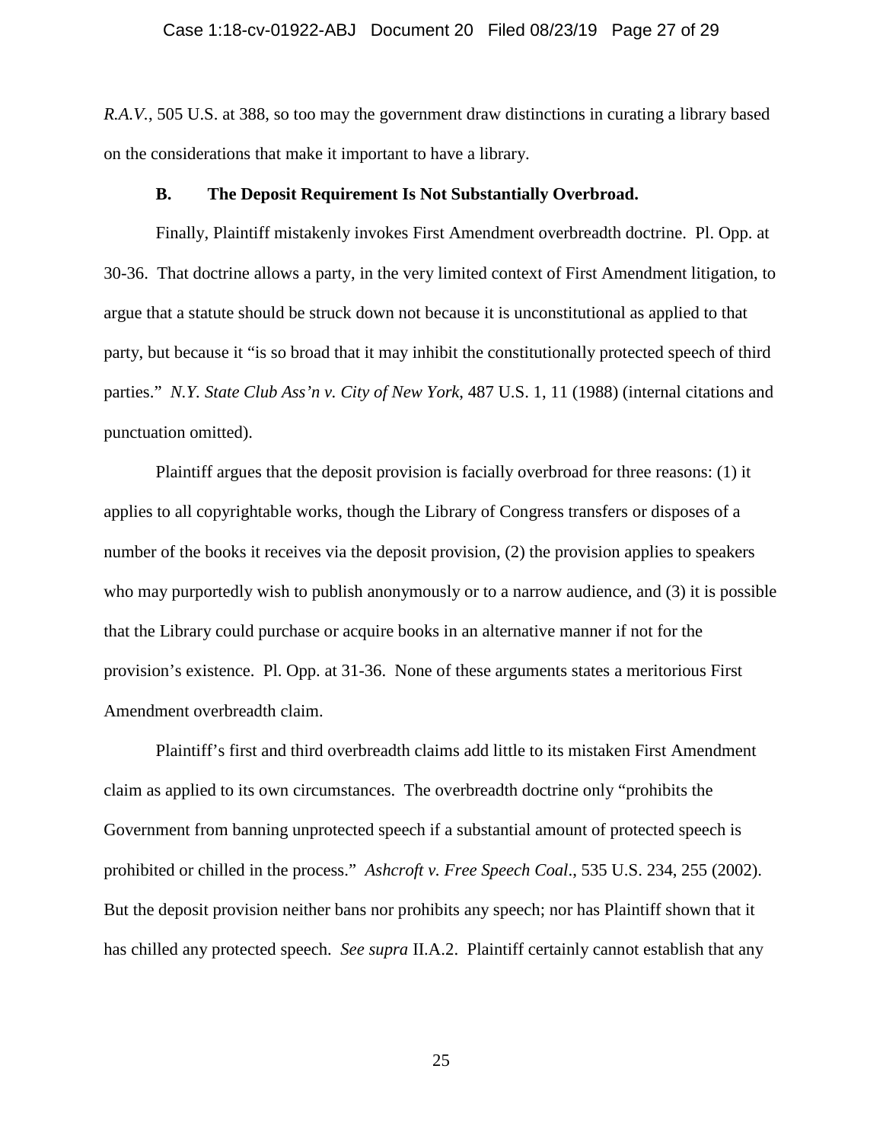#### Case 1:18-cv-01922-ABJ Document 20 Filed 08/23/19 Page 27 of 29

*R.A.V.*, 505 U.S. at 388, so too may the government draw distinctions in curating a library based on the considerations that make it important to have a library.

#### **B. The Deposit Requirement Is Not Substantially Overbroad.**

Finally, Plaintiff mistakenly invokes First Amendment overbreadth doctrine. Pl. Opp. at 30-36. That doctrine allows a party, in the very limited context of First Amendment litigation, to argue that a statute should be struck down not because it is unconstitutional as applied to that party, but because it "is so broad that it may inhibit the constitutionally protected speech of third parties." *N.Y. State Club Ass'n v. City of New York*, 487 U.S. 1, 11 (1988) (internal citations and punctuation omitted).

Plaintiff argues that the deposit provision is facially overbroad for three reasons: (1) it applies to all copyrightable works, though the Library of Congress transfers or disposes of a number of the books it receives via the deposit provision, (2) the provision applies to speakers who may purportedly wish to publish anonymously or to a narrow audience, and (3) it is possible that the Library could purchase or acquire books in an alternative manner if not for the provision's existence. Pl. Opp. at 31-36. None of these arguments states a meritorious First Amendment overbreadth claim.

Plaintiff's first and third overbreadth claims add little to its mistaken First Amendment claim as applied to its own circumstances. The overbreadth doctrine only "prohibits the Government from banning unprotected speech if a substantial amount of protected speech is prohibited or chilled in the process." *Ashcroft v. Free Speech Coal*., 535 U.S. 234, 255 (2002). But the deposit provision neither bans nor prohibits any speech; nor has Plaintiff shown that it has chilled any protected speech. *See supra* II.A.2. Plaintiff certainly cannot establish that any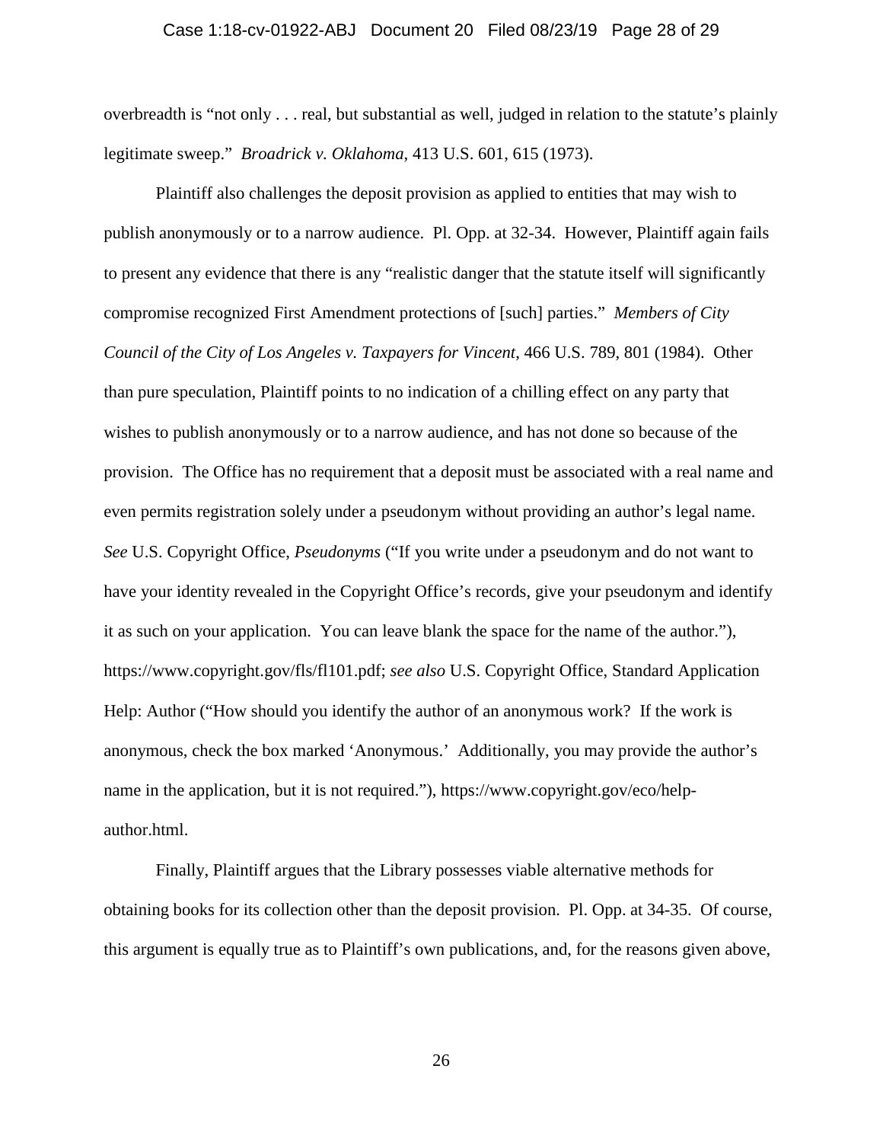#### Case 1:18-cv-01922-ABJ Document 20 Filed 08/23/19 Page 28 of 29

overbreadth is "not only . . . real, but substantial as well, judged in relation to the statute's plainly legitimate sweep." *Broadrick v. Oklahoma*, 413 U.S. 601, 615 (1973).

Plaintiff also challenges the deposit provision as applied to entities that may wish to publish anonymously or to a narrow audience. Pl. Opp. at 32-34. However, Plaintiff again fails to present any evidence that there is any "realistic danger that the statute itself will significantly compromise recognized First Amendment protections of [such] parties." *Members of City Council of the City of Los Angeles v. Taxpayers for Vincent*, 466 U.S. 789, 801 (1984). Other than pure speculation, Plaintiff points to no indication of a chilling effect on any party that wishes to publish anonymously or to a narrow audience, and has not done so because of the provision. The Office has no requirement that a deposit must be associated with a real name and even permits registration solely under a pseudonym without providing an author's legal name. *See* U.S. Copyright Office, *Pseudonyms* ("If you write under a pseudonym and do not want to have your identity revealed in the Copyright Office's records, give your pseudonym and identify it as such on your application. You can leave blank the space for the name of the author."), https://www.copyright.gov/fls/fl101.pdf; *see also* U.S. Copyright Office, Standard Application Help: Author ("How should you identify the author of an anonymous work? If the work is anonymous, check the box marked 'Anonymous.' Additionally, you may provide the author's name in the application, but it is not required."), https://www.copyright.gov/eco/helpauthor.html.

Finally, Plaintiff argues that the Library possesses viable alternative methods for obtaining books for its collection other than the deposit provision. Pl. Opp. at 34-35. Of course, this argument is equally true as to Plaintiff's own publications, and, for the reasons given above,